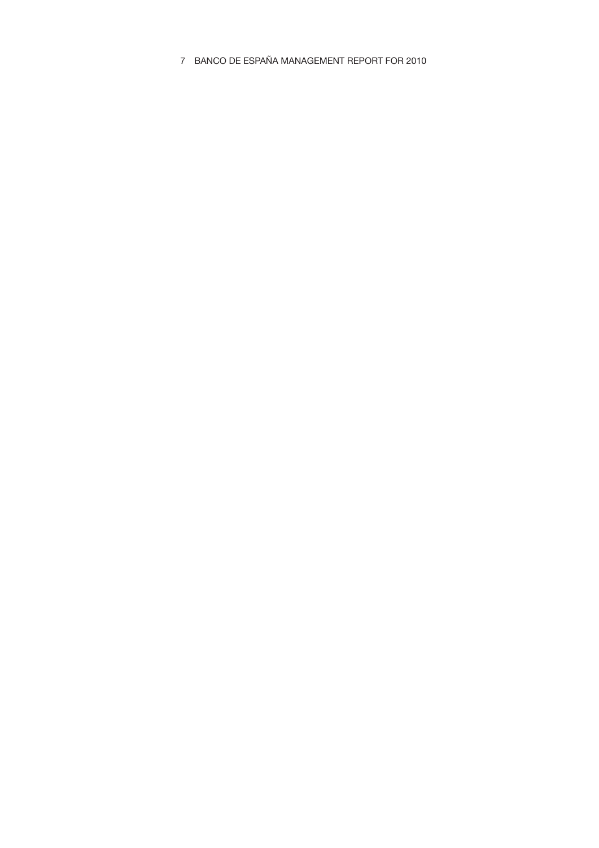7 BANCO DE ESPAÑA MANAGEMENT REPORT FOR 2010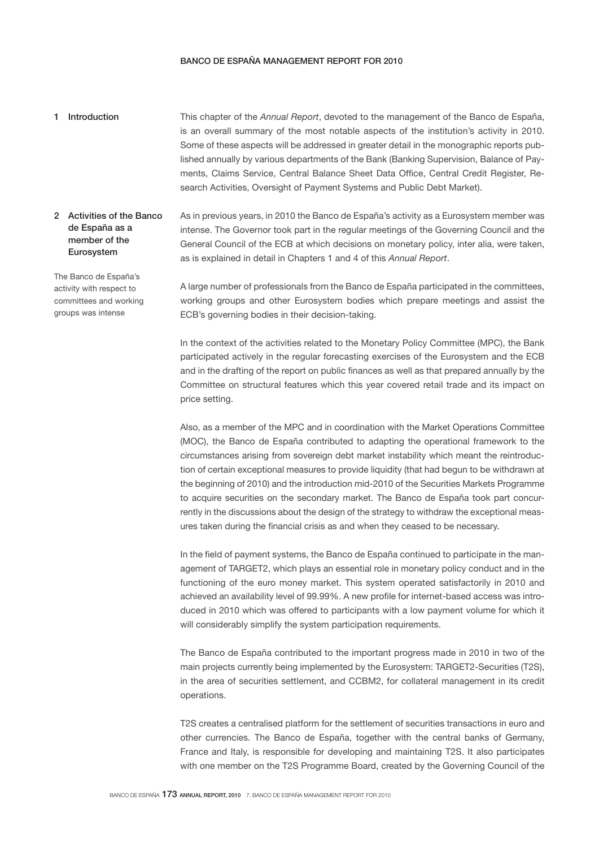## BANCO DE ESPAÑA MANAGEMENT REPORT FOR 2010

- This chapter of the *Annual Report*, devoted to the management of the Banco de España, is an overall summary of the most notable aspects of the institution's activity in 2010. Some of these aspects will be addressed in greater detail in the monographic reports published annually by various departments of the Bank (Banking Supervision, Balance of Payments, Claims Service, Central Balance Sheet Data Office, Central Credit Register, Research Activities, Oversight of Payment Systems and Public Debt Market). 1 Introduction
- As in previous years, in 2010 the Banco de España's activity as a Eurosystem member was intense. The Governor took part in the regular meetings of the Governing Council and the General Council of the ECB at which decisions on monetary policy, inter alia, were taken, as is explained in detail in Chapters 1 and 4 of this *Annual Report*. 2 Activities of the Banco de España as a member of the Eurosystem

The Banco de España's activity with respect to committees and working groups was intense

A large number of professionals from the Banco de España participated in the committees, working groups and other Eurosystem bodies which prepare meetings and assist the ECB's governing bodies in their decision-taking.

In the context of the activities related to the Monetary Policy Committee (MPC), the Bank participated actively in the regular forecasting exercises of the Eurosystem and the ECB and in the drafting of the report on public finances as well as that prepared annually by the Committee on structural features which this year covered retail trade and its impact on price setting.

Also, as a member of the MPC and in coordination with the Market Operations Committee (MOC), the Banco de España contributed to adapting the operational framework to the circumstances arising from sovereign debt market instability which meant the reintroduction of certain exceptional measures to provide liquidity (that had begun to be withdrawn at the beginning of 2010) and the introduction mid-2010 of the Securities Markets Programme to acquire securities on the secondary market. The Banco de España took part concurrently in the discussions about the design of the strategy to withdraw the exceptional measures taken during the financial crisis as and when they ceased to be necessary.

In the field of payment systems, the Banco de España continued to participate in the management of TARGET2, which plays an essential role in monetary policy conduct and in the functioning of the euro money market. This system operated satisfactorily in 2010 and achieved an availability level of 99.99%. A new profile for internet-based access was introduced in 2010 which was offered to participants with a low payment volume for which it will considerably simplify the system participation requirements.

The Banco de España contributed to the important progress made in 2010 in two of the main projects currently being implemented by the Eurosystem: TARGET2-Securities (T2S), in the area of securities settlement, and CCBM2, for collateral management in its credit operations.

T2S creates a centralised platform for the settlement of securities transactions in euro and other currencies. The Banco de España, together with the central banks of Germany, France and Italy, is responsible for developing and maintaining T2S. It also participates with one member on the T2S Programme Board, created by the Governing Council of the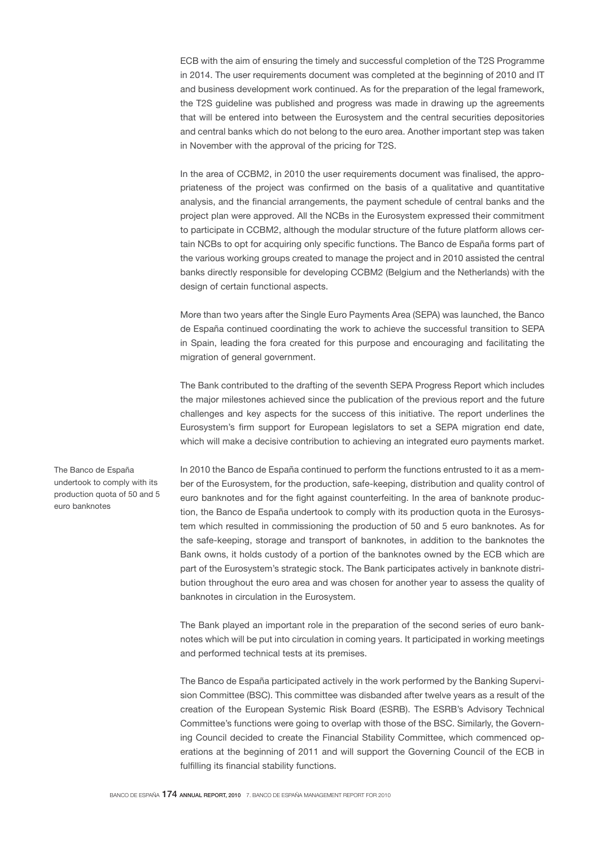ECB with the aim of ensuring the timely and successful completion of the T2S Programme in 2014. The user requirements document was completed at the beginning of 2010 and IT and business development work continued. As for the preparation of the legal framework, the T2S guideline was published and progress was made in drawing up the agreements that will be entered into between the Eurosystem and the central securities depositories and central banks which do not belong to the euro area. Another important step was taken in November with the approval of the pricing for T2S.

In the area of CCBM2, in 2010 the user requirements document was finalised, the appropriateness of the project was confirmed on the basis of a qualitative and quantitative analysis, and the financial arrangements, the payment schedule of central banks and the project plan were approved. All the NCBs in the Eurosystem expressed their commitment to participate in CCBM2, although the modular structure of the future platform allows certain NCBs to opt for acquiring only specific functions. The Banco de España forms part of the various working groups created to manage the project and in 2010 assisted the central banks directly responsible for developing CCBM2 (Belgium and the Netherlands) with the design of certain functional aspects.

More than two years after the Single Euro Payments Area (SEPA) was launched, the Banco de España continued coordinating the work to achieve the successful transition to SEPA in Spain, leading the fora created for this purpose and encouraging and facilitating the migration of general government.

The Bank contributed to the drafting of the seventh SEPA Progress Report which includes the major milestones achieved since the publication of the previous report and the future challenges and key aspects for the success of this initiative. The report underlines the Eurosystem's firm support for European legislators to set a SEPA migration end date, which will make a decisive contribution to achieving an integrated euro payments market.

In 2010 the Banco de España continued to perform the functions entrusted to it as a member of the Eurosystem, for the production, safe-keeping, distribution and quality control of euro banknotes and for the fight against counterfeiting. In the area of banknote production, the Banco de España undertook to comply with its production quota in the Eurosystem which resulted in commissioning the production of 50 and 5 euro banknotes. As for the safe-keeping, storage and transport of banknotes, in addition to the banknotes the Bank owns, it holds custody of a portion of the banknotes owned by the ECB which are part of the Eurosystem's strategic stock. The Bank participates actively in banknote distribution throughout the euro area and was chosen for another year to assess the quality of banknotes in circulation in the Eurosystem.

The Bank played an important role in the preparation of the second series of euro banknotes which will be put into circulation in coming years. It participated in working meetings and performed technical tests at its premises.

The Banco de España participated actively in the work performed by the Banking Supervision Committee (BSC). This committee was disbanded after twelve years as a result of the creation of the European Systemic Risk Board (ESRB). The ESRB's Advisory Technical Committee's functions were going to overlap with those of the BSC. Similarly, the Governing Council decided to create the Financial Stability Committee, which commenced operations at the beginning of 2011 and will support the Governing Council of the ECB in fulfilling its financial stability functions.

The Banco de España undertook to comply with its production quota of 50 and 5 euro banknotes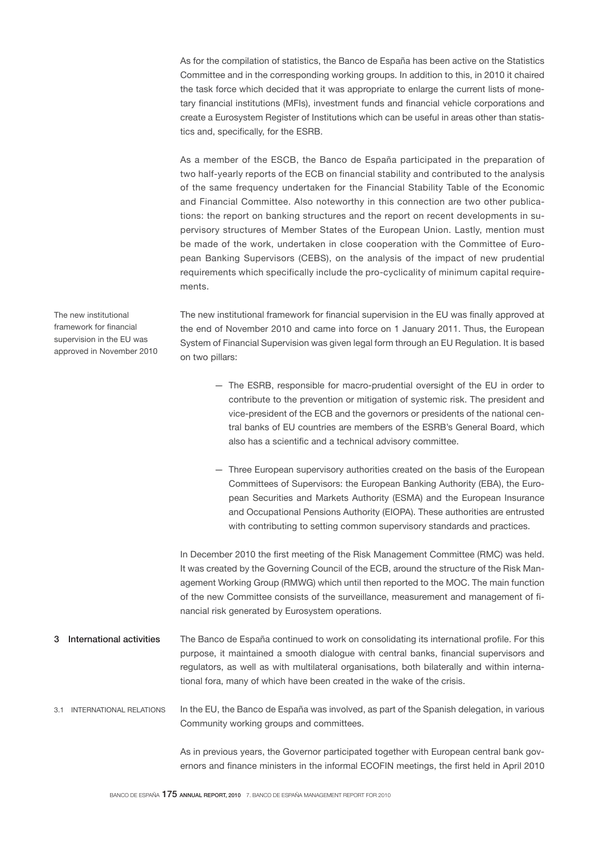As for the compilation of statistics, the Banco de España has been active on the Statistics Committee and in the corresponding working groups. In addition to this, in 2010 it chaired the task force which decided that it was appropriate to enlarge the current lists of monetary financial institutions (MFIs), investment funds and financial vehicle corporations and create a Eurosystem Register of Institutions which can be useful in areas other than statistics and, specifically, for the ESRB.

As a member of the ESCB, the Banco de España participated in the preparation of two half-yearly reports of the ECB on financial stability and contributed to the analysis of the same frequency undertaken for the Financial Stability Table of the Economic and Financial Committee. Also noteworthy in this connection are two other publications: the report on banking structures and the report on recent developments in supervisory structures of Member States of the European Union. Lastly, mention must be made of the work, undertaken in close cooperation with the Committee of European Banking Supervisors (CEBS), on the analysis of the impact of new prudential requirements which specifically include the pro-cyclicality of minimum capital requirements.

The new institutional framework for financial supervision in the EU was finally approved at the end of November 2010 and came into force on 1 January 2011. Thus, the European System of Financial Supervision was given legal form through an EU Regulation. It is based on two pillars:

- The ESRB, responsible for macro-prudential oversight of the EU in order to contribute to the prevention or mitigation of systemic risk. The president and vice-president of the ECB and the governors or presidents of the national central banks of EU countries are members of the ESRB's General Board, which also has a scientific and a technical advisory committee.
- Three European supervisory authorities created on the basis of the European Committees of Supervisors: the European Banking Authority (EBA), the European Securities and Markets Authority (ESMA) and the European Insurance and Occupational Pensions Authority (EIOPA). These authorities are entrusted with contributing to setting common supervisory standards and practices.

In December 2010 the first meeting of the Risk Management Committee (RMC) was held. It was created by the Governing Council of the ECB, around the structure of the Risk Management Working Group (RMWG) which until then reported to the MOC. The main function of the new Committee consists of the surveillance, measurement and management of financial risk generated by Eurosystem operations.

- The Banco de España continued to work on consolidating its international profile. For this purpose, it maintained a smooth dialogue with central banks, financial supervisors and regulators, as well as with multilateral organisations, both bilaterally and within international fora, many of which have been created in the wake of the crisis. 3 International activities
- In the EU, the Banco de España was involved, as part of the Spanish delegation, in various Community working groups and committees. 3.1 INTERNATIONAL RELATIONS

As in previous years, the Governor participated together with European central bank governors and finance ministers in the informal ECOFIN meetings, the first held in April 2010

The new institutional framework for financial supervision in the EU was approved in November 2010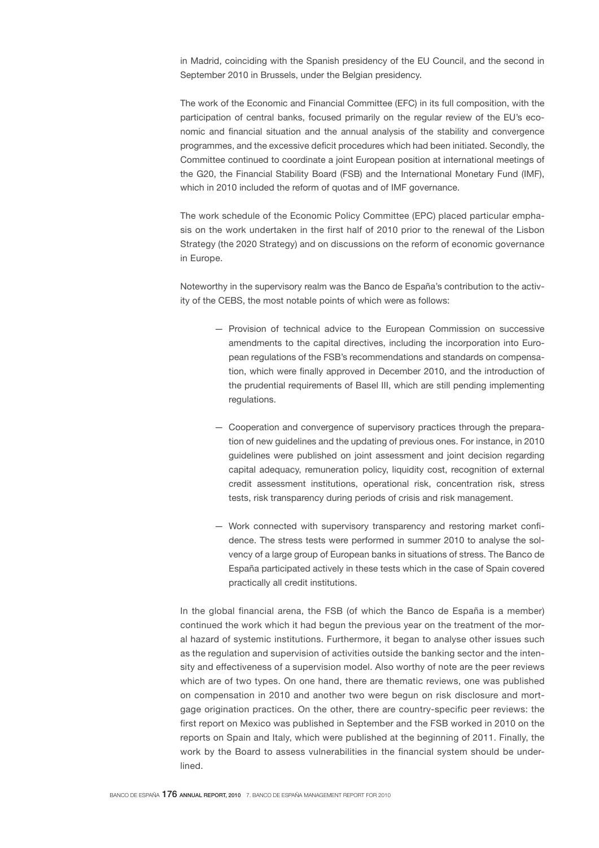in Madrid, coinciding with the Spanish presidency of the EU Council, and the second in September 2010 in Brussels, under the Belgian presidency.

The work of the Economic and Financial Committee (EFC) in its full composition, with the participation of central banks, focused primarily on the regular review of the EU's economic and financial situation and the annual analysis of the stability and convergence programmes, and the excessive deficit procedures which had been initiated. Secondly, the Committee continued to coordinate a joint European position at international meetings of the G20, the Financial Stability Board (FSB) and the International Monetary Fund (IMF), which in 2010 included the reform of quotas and of IMF governance.

The work schedule of the Economic Policy Committee (EPC) placed particular emphasis on the work undertaken in the first half of 2010 prior to the renewal of the Lisbon Strategy (the 2020 Strategy) and on discussions on the reform of economic governance in Europe.

Noteworthy in the supervisory realm was the Banco de España's contribution to the activity of the CEBS, the most notable points of which were as follows:

- Provision of technical advice to the European Commission on successive amendments to the capital directives, including the incorporation into European regulations of the FSB's recommendations and standards on compensation, which were finally approved in December 2010, and the introduction of the prudential requirements of Basel III, which are still pending implementing regulations.
- Cooperation and convergence of supervisory practices through the preparation of new guidelines and the updating of previous ones. For instance, in 2010 guidelines were published on joint assessment and joint decision regarding capital adequacy, remuneration policy, liquidity cost, recognition of external credit assessment institutions, operational risk, concentration risk, stress tests, risk transparency during periods of crisis and risk management.
- Work connected with supervisory transparency and restoring market confidence. The stress tests were performed in summer 2010 to analyse the solvency of a large group of European banks in situations of stress. The Banco de España participated actively in these tests which in the case of Spain covered practically all credit institutions.

In the global financial arena, the FSB (of which the Banco de España is a member) continued the work which it had begun the previous year on the treatment of the moral hazard of systemic institutions. Furthermore, it began to analyse other issues such as the regulation and supervision of activities outside the banking sector and the intensity and effectiveness of a supervision model. Also worthy of note are the peer reviews which are of two types. On one hand, there are thematic reviews, one was published on compensation in 2010 and another two were begun on risk disclosure and mortgage origination practices. On the other, there are country-specific peer reviews: the first report on Mexico was published in September and the FSB worked in 2010 on the reports on Spain and Italy, which were published at the beginning of 2011. Finally, the work by the Board to assess vulnerabilities in the financial system should be underlined.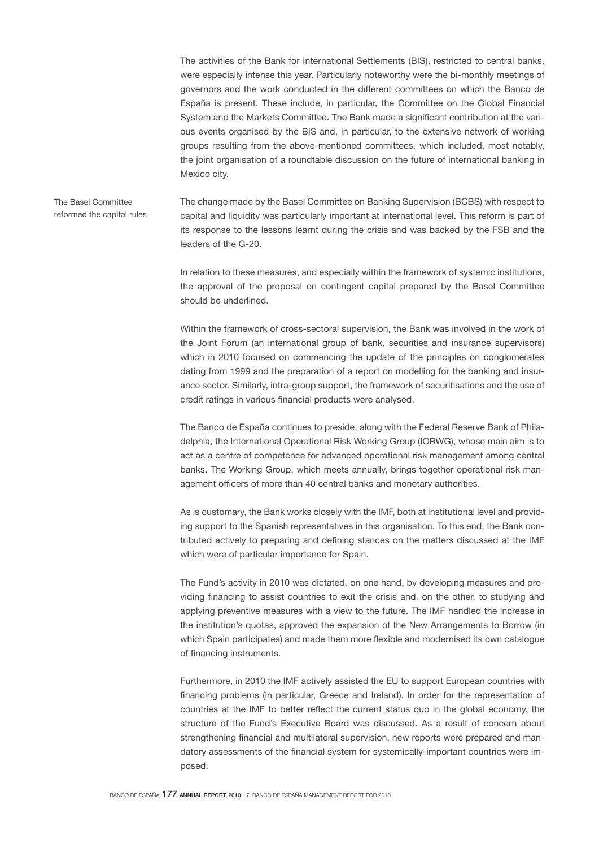The activities of the Bank for International Settlements (BIS), restricted to central banks, were especially intense this year. Particularly noteworthy were the bi-monthly meetings of governors and the work conducted in the different committees on which the Banco de España is present. These include, in particular, the Committee on the Global Financial System and the Markets Committee. The Bank made a significant contribution at the various events organised by the BIS and, in particular, to the extensive network of working groups resulting from the above-mentioned committees, which included, most notably, the joint organisation of a roundtable discussion on the future of international banking in Mexico city.

The Basel Committee reformed the capital rules

The change made by the Basel Committee on Banking Supervision (BCBS) with respect to capital and liquidity was particularly important at international level. This reform is part of its response to the lessons learnt during the crisis and was backed by the FSB and the leaders of the G-20.

In relation to these measures, and especially within the framework of systemic institutions, the approval of the proposal on contingent capital prepared by the Basel Committee should be underlined.

Within the framework of cross-sectoral supervision, the Bank was involved in the work of the Joint Forum (an international group of bank, securities and insurance supervisors) which in 2010 focused on commencing the update of the principles on conglomerates dating from 1999 and the preparation of a report on modelling for the banking and insurance sector. Similarly, intra-group support, the framework of securitisations and the use of credit ratings in various financial products were analysed.

The Banco de España continues to preside, along with the Federal Reserve Bank of Philadelphia, the International Operational Risk Working Group (IORWG), whose main aim is to act as a centre of competence for advanced operational risk management among central banks. The Working Group, which meets annually, brings together operational risk management officers of more than 40 central banks and monetary authorities.

As is customary, the Bank works closely with the IMF, both at institutional level and providing support to the Spanish representatives in this organisation. To this end, the Bank contributed actively to preparing and defining stances on the matters discussed at the IMF which were of particular importance for Spain.

The Fund's activity in 2010 was dictated, on one hand, by developing measures and providing financing to assist countries to exit the crisis and, on the other, to studying and applying preventive measures with a view to the future. The IMF handled the increase in the institution's quotas, approved the expansion of the New Arrangements to Borrow (in which Spain participates) and made them more flexible and modernised its own catalogue of financing instruments.

Furthermore, in 2010 the IMF actively assisted the EU to support European countries with financing problems (in particular, Greece and Ireland). In order for the representation of countries at the IMF to better reflect the current status quo in the global economy, the structure of the Fund's Executive Board was discussed. As a result of concern about strengthening financial and multilateral supervision, new reports were prepared and mandatory assessments of the financial system for systemically-important countries were imposed.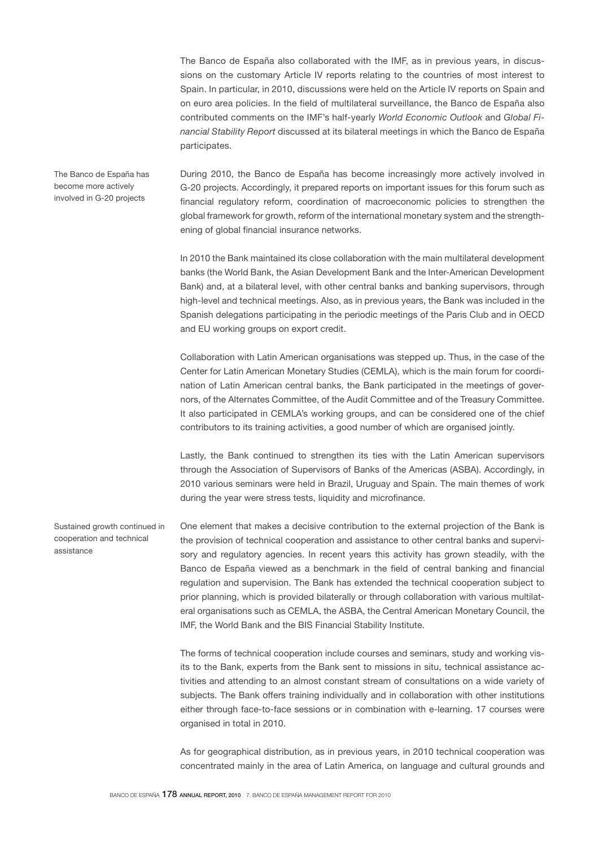The Banco de España also collaborated with the IMF, as in previous years, in discussions on the customary Article IV reports relating to the countries of most interest to Spain. In particular, in 2010, discussions were held on the Article IV reports on Spain and on euro area policies. In the field of multilateral surveillance, the Banco de España also contributed comments on the IMF's half-yearly *World Economic Outlook* and *Global Financial Stability Report* discussed at its bilateral meetings in which the Banco de España participates.

During 2010, the Banco de España has become increasingly more actively involved in G-20 projects. Accordingly, it prepared reports on important issues for this forum such as financial regulatory reform, coordination of macroeconomic policies to strengthen the global framework for growth, reform of the international monetary system and the strengthening of global financial insurance networks. The Banco de España has

> In 2010 the Bank maintained its close collaboration with the main multilateral development banks (the World Bank, the Asian Development Bank and the Inter-American Development Bank) and, at a bilateral level, with other central banks and banking supervisors, through high-level and technical meetings. Also, as in previous years, the Bank was included in the Spanish delegations participating in the periodic meetings of the Paris Club and in OECD and EU working groups on export credit.

> Collaboration with Latin American organisations was stepped up. Thus, in the case of the Center for Latin American Monetary Studies (CEMLA), which is the main forum for coordination of Latin American central banks, the Bank participated in the meetings of governors, of the Alternates Committee, of the Audit Committee and of the Treasury Committee. It also participated in CEMLA's working groups, and can be considered one of the chief contributors to its training activities, a good number of which are organised jointly.

> Lastly, the Bank continued to strengthen its ties with the Latin American supervisors through the Association of Supervisors of Banks of the Americas (ASBA). Accordingly, in 2010 various seminars were held in Brazil, Uruguay and Spain. The main themes of work during the year were stress tests, liquidity and microfinance.

One element that makes a decisive contribution to the external projection of the Bank is the provision of technical cooperation and assistance to other central banks and supervisory and regulatory agencies. In recent years this activity has grown steadily, with the Banco de España viewed as a benchmark in the field of central banking and financial regulation and supervision. The Bank has extended the technical cooperation subject to prior planning, which is provided bilaterally or through collaboration with various multilateral organisations such as CEMLA, the ASBA, the Central American Monetary Council, the IMF, the World Bank and the BIS Financial Stability Institute. Sustained growth continued in cooperation and technical assistance

> The forms of technical cooperation include courses and seminars, study and working visits to the Bank, experts from the Bank sent to missions in situ, technical assistance activities and attending to an almost constant stream of consultations on a wide variety of subjects. The Bank offers training individually and in collaboration with other institutions either through face-to-face sessions or in combination with e-learning. 17 courses were organised in total in 2010.

> As for geographical distribution, as in previous years, in 2010 technical cooperation was concentrated mainly in the area of Latin America, on language and cultural grounds and

become more actively involved in G-20 projects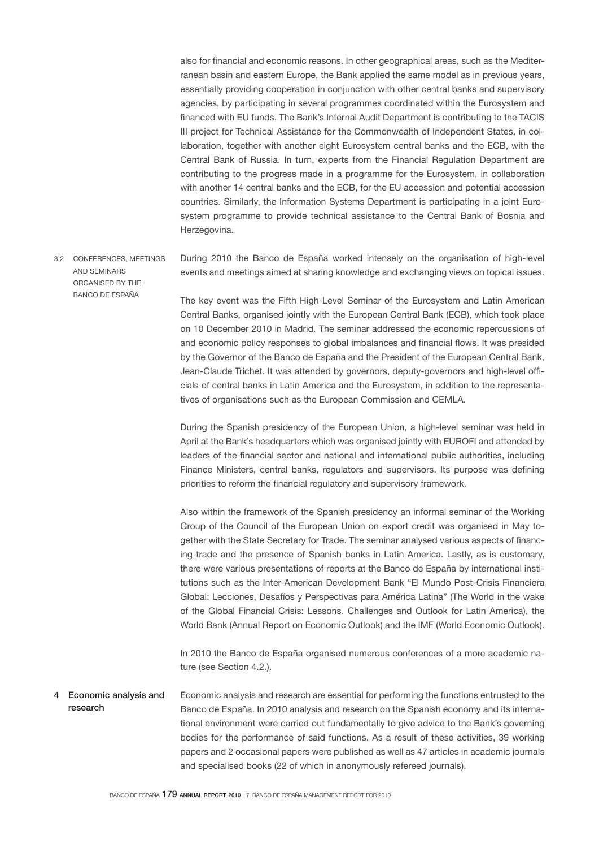also for financial and economic reasons. In other geographical areas, such as the Mediterranean basin and eastern Europe, the Bank applied the same model as in previous years, essentially providing cooperation in conjunction with other central banks and supervisory agencies, by participating in several programmes coordinated within the Eurosystem and financed with EU funds. The Bank's Internal Audit Department is contributing to the TACIS III project for Technical Assistance for the Commonwealth of Independent States, in collaboration, together with another eight Eurosystem central banks and the ECB, with the Central Bank of Russia. In turn, experts from the Financial Regulation Department are contributing to the progress made in a programme for the Eurosystem, in collaboration with another 14 central banks and the ECB, for the EU accession and potential accession countries. Similarly, the Information Systems Department is participating in a joint Eurosystem programme to provide technical assistance to the Central Bank of Bosnia and Herzegovina.

During 2010 the Banco de España worked intensely on the organisation of high-level events and meetings aimed at sharing knowledge and exchanging views on topical issues. 3.2 CONFERENCES, MEETINGS AND SEMINARS ORGANISED BY THE

BANCO DE ESPAÑA

The key event was the Fifth High-Level Seminar of the Eurosystem and Latin American Central Banks, organised jointly with the European Central Bank (ECB), which took place on 10 December 2010 in Madrid. The seminar addressed the economic repercussions of and economic policy responses to global imbalances and financial flows. It was presided by the Governor of the Banco de España and the President of the European Central Bank, Jean-Claude Trichet. It was attended by governors, deputy-governors and high-level officials of central banks in Latin America and the Eurosystem, in addition to the representatives of organisations such as the European Commission and CEMLA.

During the Spanish presidency of the European Union, a high-level seminar was held in April at the Bank's headquarters which was organised jointly with EUROFI and attended by leaders of the financial sector and national and international public authorities, including Finance Ministers, central banks, regulators and supervisors. Its purpose was defining priorities to reform the financial regulatory and supervisory framework.

Also within the framework of the Spanish presidency an informal seminar of the Working Group of the Council of the European Union on export credit was organised in May together with the State Secretary for Trade. The seminar analysed various aspects of financing trade and the presence of Spanish banks in Latin America. Lastly, as is customary, there were various presentations of reports at the Banco de España by international institutions such as the Inter-American Development Bank "El Mundo Post-Crisis Financiera Global: Lecciones, Desafíos y Perspectivas para América Latina" (The World in the wake of the Global Financial Crisis: Lessons, Challenges and Outlook for Latin America), the World Bank (Annual Report on Economic Outlook) and the IMF (World Economic Outlook).

In 2010 the Banco de España organised numerous conferences of a more academic nature (see Section 4.2.).

Economic analysis and research are essential for performing the functions entrusted to the Banco de España. In 2010 analysis and research on the Spanish economy and its international environment were carried out fundamentally to give advice to the Bank's governing bodies for the performance of said functions. As a result of these activities, 39 working papers and 2 occasional papers were published as well as 47 articles in academic journals and specialised books (22 of which in anonymously refereed journals). **Economic analysis and** research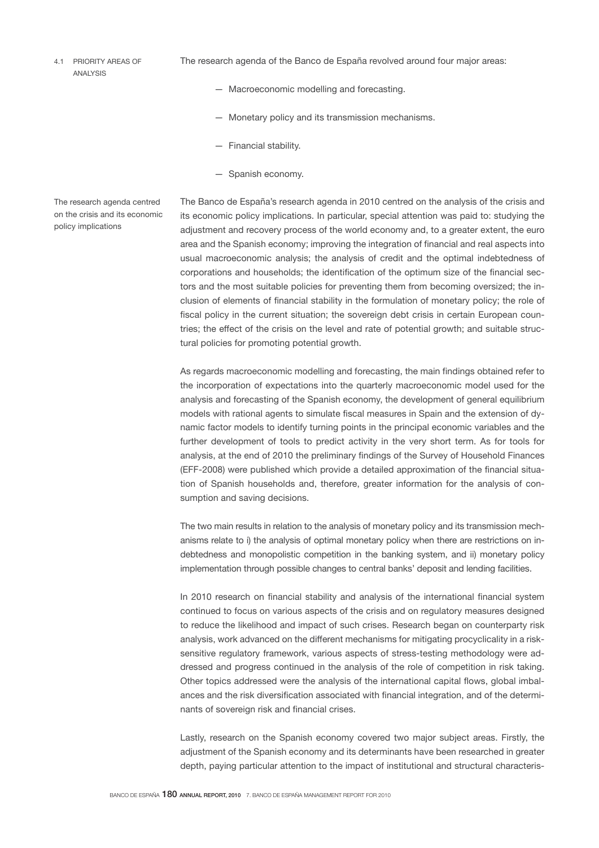4.1 PRIORITY AREAS OF ANALYSIS

The research agenda of the Banco de España revolved around four major areas:

- Macroeconomic modelling and forecasting.
- Monetary policy and its transmission mechanisms.
- Financial stability.
- Spanish economy.

The research agenda centred on the crisis and its economic policy implications

The Banco de España's research agenda in 2010 centred on the analysis of the crisis and its economic policy implications. In particular, special attention was paid to: studying the adjustment and recovery process of the world economy and, to a greater extent, the euro area and the Spanish economy; improving the integration of financial and real aspects into usual macroeconomic analysis; the analysis of credit and the optimal indebtedness of corporations and households; the identification of the optimum size of the financial sectors and the most suitable policies for preventing them from becoming oversized; the inclusion of elements of financial stability in the formulation of monetary policy; the role of fiscal policy in the current situation; the sovereign debt crisis in certain European countries; the effect of the crisis on the level and rate of potential growth; and suitable structural policies for promoting potential growth.

As regards macroeconomic modelling and forecasting, the main findings obtained refer to the incorporation of expectations into the quarterly macroeconomic model used for the analysis and forecasting of the Spanish economy, the development of general equilibrium models with rational agents to simulate fiscal measures in Spain and the extension of dynamic factor models to identify turning points in the principal economic variables and the further development of tools to predict activity in the very short term. As for tools for analysis, at the end of 2010 the preliminary findings of the Survey of Household Finances (EFF-2008) were published which provide a detailed approximation of the financial situation of Spanish households and, therefore, greater information for the analysis of consumption and saving decisions.

The two main results in relation to the analysis of monetary policy and its transmission mechanisms relate to i) the analysis of optimal monetary policy when there are restrictions on indebtedness and monopolistic competition in the banking system, and ii) monetary policy implementation through possible changes to central banks' deposit and lending facilities.

In 2010 research on financial stability and analysis of the international financial system continued to focus on various aspects of the crisis and on regulatory measures designed to reduce the likelihood and impact of such crises. Research began on counterparty risk analysis, work advanced on the different mechanisms for mitigating procyclicality in a risksensitive regulatory framework, various aspects of stress-testing methodology were addressed and progress continued in the analysis of the role of competition in risk taking. Other topics addressed were the analysis of the international capital flows, global imbalances and the risk diversification associated with financial integration, and of the determinants of sovereign risk and financial crises.

Lastly, research on the Spanish economy covered two major subject areas. Firstly, the adjustment of the Spanish economy and its determinants have been researched in greater depth, paying particular attention to the impact of institutional and structural characteris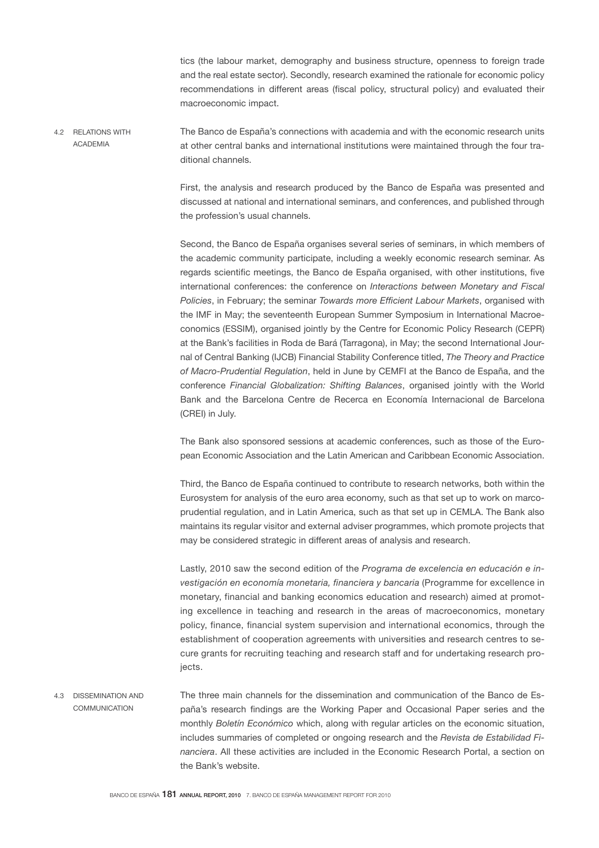tics (the labour market, demography and business structure, openness to foreign trade and the real estate sector). Secondly, research examined the rationale for economic policy recommendations in different areas (fiscal policy, structural policy) and evaluated their macroeconomic impact.

The Banco de España's connections with academia and with the economic research units at other central banks and international institutions were maintained through the four traditional channels. 4.2 RELATIONS WITH ACADEMIA

> First, the analysis and research produced by the Banco de España was presented and discussed at national and international seminars, and conferences, and published through the profession's usual channels.

> Second, the Banco de España organises several series of seminars, in which members of the academic community participate, including a weekly economic research seminar. As regards scientific meetings, the Banco de España organised, with other institutions, five international conferences: the conference on *Interactions between Monetary and Fiscal Policies*, in February; the seminar *Towards more Efficient Labour Markets*, organised with the IMF in May; the seventeenth European Summer Symposium in International Macroeconomics (ESSIM), organised jointly by the Centre for Economic Policy Research (CEPR) at the Bank's facilities in Roda de Bará (Tarragona), in May; the second International Journal of Central Banking (IJCB) Financial Stability Conference titled, *The Theory and Practice of Macro-Prudential Regulation*, held in June by CEMFI at the Banco de España, and the conference *Financial Globalization: Shifting Balances*, organised jointly with the World Bank and the Barcelona Centre de Recerca en Economía Internacional de Barcelona (CREI) in July.

> The Bank also sponsored sessions at academic conferences, such as those of the European Economic Association and the Latin American and Caribbean Economic Association.

> Third, the Banco de España continued to contribute to research networks, both within the Eurosystem for analysis of the euro area economy, such as that set up to work on marcoprudential regulation, and in Latin America, such as that set up in CEMLA. The Bank also maintains its regular visitor and external adviser programmes, which promote projects that may be considered strategic in different areas of analysis and research.

> Lastly, 2010 saw the second edition of the *Programa de excelencia en educación e investigación en economía monetaria, financiera y bancaria* (Programme for excellence in monetary, financial and banking economics education and research) aimed at promoting excellence in teaching and research in the areas of macroeconomics, monetary policy, finance, financial system supervision and international economics, through the establishment of cooperation agreements with universities and research centres to secure grants for recruiting teaching and research staff and for undertaking research projects.

The three main channels for the dissemination and communication of the Banco de España's research findings are the Working Paper and Occasional Paper series and the monthly *Boletín Económico* which, along with regular articles on the economic situation, includes summaries of completed or ongoing research and the *Revista de Estabilidad Financiera*. All these activities are included in the Economic Research Portal, a section on the Bank's website. 4.3 DISSEMINATION AND COMMUNICATION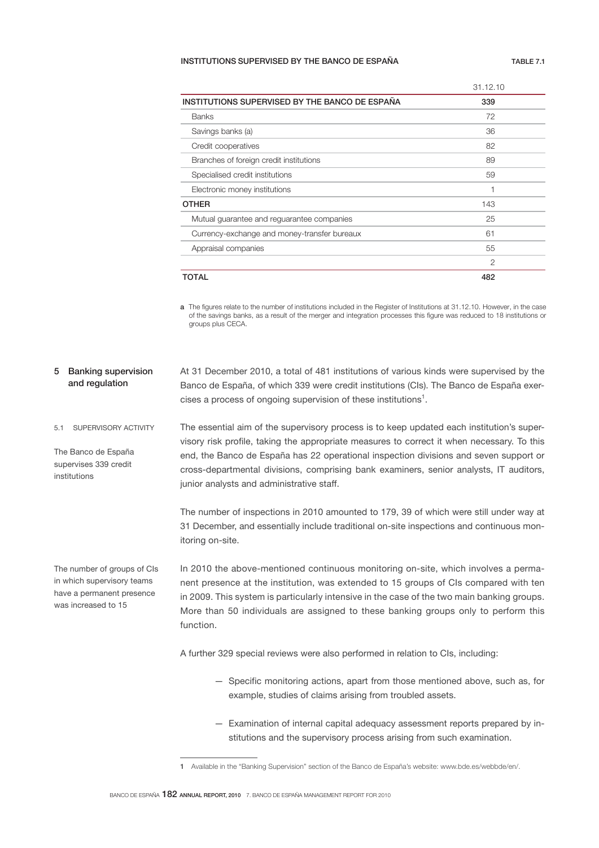## INSTITUTIONS SUPERVISED BY THE BANCO DE ESPAÑA TABLE 7.1

31.12.10

|                                                | - - - - - - - - - |
|------------------------------------------------|-------------------|
| INSTITUTIONS SUPERVISED BY THE BANCO DE ESPAÑA | 339               |
| <b>Banks</b>                                   | 72                |
| Savings banks (a)                              | 36                |
| Credit cooperatives                            | 82                |
| Branches of foreign credit institutions        | 89                |
| Specialised credit institutions                | 59                |
| Electronic money institutions                  |                   |
| <b>OTHER</b>                                   | 143               |
| Mutual guarantee and reguarantee companies     | 25                |
| Currency-exchange and money-transfer bureaux   | 61                |
| Appraisal companies                            | 55                |
|                                                | $\overline{2}$    |
| TOTAL                                          | 482               |

a The figures relate to the number of institutions included in the Register of Institutions at 31.12.10. However, in the case of the savings banks, as a result of the merger and integration processes this jgure was reduced to 18 institutions or groups plus CECA.

At 31 December 2010, a total of 481 institutions of various kinds were supervised by the Banco de España, of which 339 were credit institutions (CIs). The Banco de España exercises a process of ongoing supervision of these institutions<sup>1</sup>. 5 Banking supervision and regulation

The essential aim of the supervisory process is to keep updated each institution's supervisory risk profile, taking the appropriate measures to correct it when necessary. To this end, the Banco de España has 22 operational inspection divisions and seven support or cross-departmental divisions, comprising bank examiners, senior analysts, IT auditors, junior analysts and administrative staff. 5.1 SUPERVISORY ACTIVITY The Banco de España supervises 339 credit institutions

> The number of inspections in 2010 amounted to 179, 39 of which were still under way at 31 December, and essentially include traditional on-site inspections and continuous monitoring on-site.

> In 2010 the above-mentioned continuous monitoring on-site, which involves a permanent presence at the institution, was extended to 15 groups of CIs compared with ten in 2009. This system is particularly intensive in the case of the two main banking groups. More than 50 individuals are assigned to these banking groups only to perform this function.

A further 329 special reviews were also performed in relation to CIs, including:

- Specific monitoring actions, apart from those mentioned above, such as, for example, studies of claims arising from troubled assets.
- Examination of internal capital adequacy assessment reports prepared by institutions and the supervisory process arising from such examination.

The number of groups of CIs in which supervisory teams have a permanent presence was increased to 15

<sup>1</sup> Available in the "Banking Supervision" section of the Banco de España's website: www.bde.es/webbde/en/.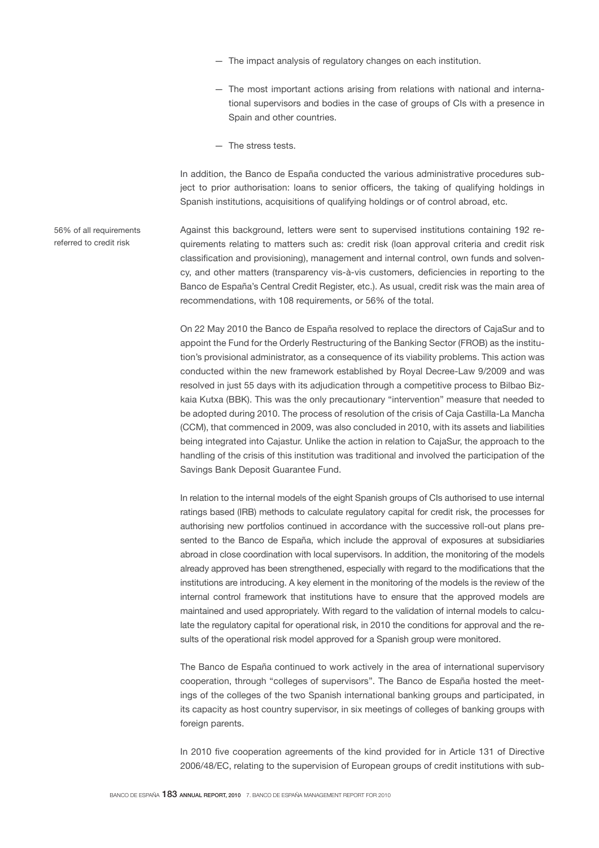- The impact analysis of regulatory changes on each institution.
- The most important actions arising from relations with national and international supervisors and bodies in the case of groups of CIs with a presence in Spain and other countries.
- The stress tests.

In addition, the Banco de España conducted the various administrative procedures subject to prior authorisation: loans to senior officers, the taking of qualifying holdings in Spanish institutions, acquisitions of qualifying holdings or of control abroad, etc.

Against this background, letters were sent to supervised institutions containing 192 requirements relating to matters such as: credit risk (loan approval criteria and credit risk classification and provisioning), management and internal control, own funds and solvency, and other matters (transparency vis-à-vis customers, deficiencies in reporting to the Banco de España's Central Credit Register, etc.). As usual, credit risk was the main area of recommendations, with 108 requirements, or 56% of the total. 56% of all requirements referred to credit risk

> On 22 May 2010 the Banco de España resolved to replace the directors of CajaSur and to appoint the Fund for the Orderly Restructuring of the Banking Sector (FROB) as the institution's provisional administrator, as a consequence of its viability problems. This action was conducted within the new framework established by Royal Decree-Law 9/2009 and was resolved in just 55 days with its adjudication through a competitive process to Bilbao Bizkaia Kutxa (BBK). This was the only precautionary "intervention" measure that needed to be adopted during 2010. The process of resolution of the crisis of Caja Castilla-La Mancha (CCM), that commenced in 2009, was also concluded in 2010, with its assets and liabilities being integrated into Cajastur. Unlike the action in relation to CajaSur, the approach to the handling of the crisis of this institution was traditional and involved the participation of the Savings Bank Deposit Guarantee Fund.

> In relation to the internal models of the eight Spanish groups of CIs authorised to use internal ratings based (IRB) methods to calculate regulatory capital for credit risk, the processes for authorising new portfolios continued in accordance with the successive roll-out plans presented to the Banco de España, which include the approval of exposures at subsidiaries abroad in close coordination with local supervisors. In addition, the monitoring of the models already approved has been strengthened, especially with regard to the modifications that the institutions are introducing. A key element in the monitoring of the models is the review of the internal control framework that institutions have to ensure that the approved models are maintained and used appropriately. With regard to the validation of internal models to calculate the regulatory capital for operational risk, in 2010 the conditions for approval and the results of the operational risk model approved for a Spanish group were monitored.

> The Banco de España continued to work actively in the area of international supervisory cooperation, through "colleges of supervisors". The Banco de España hosted the meetings of the colleges of the two Spanish international banking groups and participated, in its capacity as host country supervisor, in six meetings of colleges of banking groups with foreign parents.

> In 2010 five cooperation agreements of the kind provided for in Article 131 of Directive 2006/48/EC, relating to the supervision of European groups of credit institutions with sub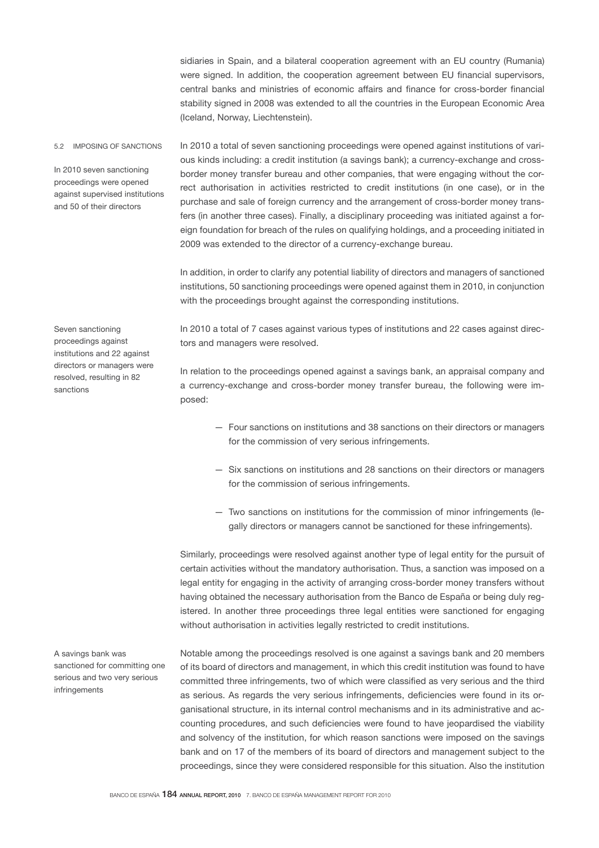sidiaries in Spain, and a bilateral cooperation agreement with an EU country (Rumania) were signed. In addition, the cooperation agreement between EU financial supervisors, central banks and ministries of economic affairs and finance for cross-border financial stability signed in 2008 was extended to all the countries in the European Economic Area (Iceland, Norway, Liechtenstein).

5.2 IMPOSING OF SANCTIONS

In 2010 seven sanctioning proceedings were opened against supervised institutions and 50 of their directors

In 2010 a total of seven sanctioning proceedings were opened against institutions of various kinds including: a credit institution (a savings bank); a currency-exchange and crossborder money transfer bureau and other companies, that were engaging without the correct authorisation in activities restricted to credit institutions (in one case), or in the purchase and sale of foreign currency and the arrangement of cross-border money transfers (in another three cases). Finally, a disciplinary proceeding was initiated against a foreign foundation for breach of the rules on qualifying holdings, and a proceeding initiated in 2009 was extended to the director of a currency-exchange bureau.

In addition, in order to clarify any potential liability of directors and managers of sanctioned institutions, 50 sanctioning proceedings were opened against them in 2010, in conjunction with the proceedings brought against the corresponding institutions.

Seven sanctioning proceedings against institutions and 22 against directors or managers were resolved, resulting in 82 sanctions

In 2010 a total of 7 cases against various types of institutions and 22 cases against directors and managers were resolved.

In relation to the proceedings opened against a savings bank, an appraisal company and a currency-exchange and cross-border money transfer bureau, the following were imposed:

- Four sanctions on institutions and 38 sanctions on their directors or managers for the commission of very serious infringements.
- Six sanctions on institutions and 28 sanctions on their directors or managers for the commission of serious infringements.
- Two sanctions on institutions for the commission of minor infringements (legally directors or managers cannot be sanctioned for these infringements).

Similarly, proceedings were resolved against another type of legal entity for the pursuit of certain activities without the mandatory authorisation. Thus, a sanction was imposed on a legal entity for engaging in the activity of arranging cross-border money transfers without having obtained the necessary authorisation from the Banco de España or being duly registered. In another three proceedings three legal entities were sanctioned for engaging without authorisation in activities legally restricted to credit institutions.

Notable among the proceedings resolved is one against a savings bank and 20 members of its board of directors and management, in which this credit institution was found to have committed three infringements, two of which were classified as very serious and the third as serious. As regards the very serious infringements, deficiencies were found in its organisational structure, in its internal control mechanisms and in its administrative and accounting procedures, and such deficiencies were found to have jeopardised the viability and solvency of the institution, for which reason sanctions were imposed on the savings bank and on 17 of the members of its board of directors and management subject to the proceedings, since they were considered responsible for this situation. Also the institution

A savings bank was sanctioned for committing one serious and two very serious infringements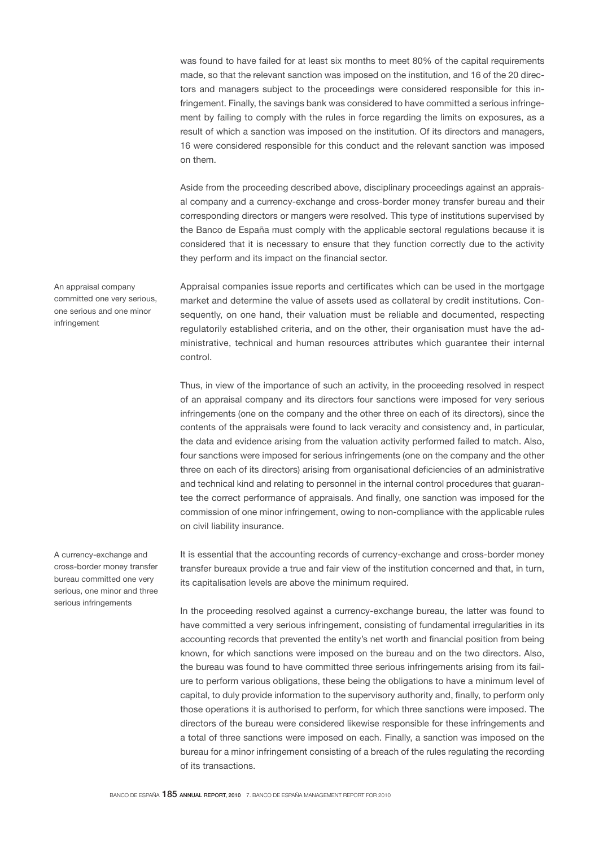was found to have failed for at least six months to meet 80% of the capital requirements made, so that the relevant sanction was imposed on the institution, and 16 of the 20 directors and managers subject to the proceedings were considered responsible for this infringement. Finally, the savings bank was considered to have committed a serious infringement by failing to comply with the rules in force regarding the limits on exposures, as a result of which a sanction was imposed on the institution. Of its directors and managers, 16 were considered responsible for this conduct and the relevant sanction was imposed on them.

Aside from the proceeding described above, disciplinary proceedings against an appraisal company and a currency-exchange and cross-border money transfer bureau and their corresponding directors or mangers were resolved. This type of institutions supervised by the Banco de España must comply with the applicable sectoral regulations because it is considered that it is necessary to ensure that they function correctly due to the activity they perform and its impact on the financial sector.

Appraisal companies issue reports and certificates which can be used in the mortgage market and determine the value of assets used as collateral by credit institutions. Consequently, on one hand, their valuation must be reliable and documented, respecting regulatorily established criteria, and on the other, their organisation must have the administrative, technical and human resources attributes which guarantee their internal control.

Thus, in view of the importance of such an activity, in the proceeding resolved in respect of an appraisal company and its directors four sanctions were imposed for very serious infringements (one on the company and the other three on each of its directors), since the contents of the appraisals were found to lack veracity and consistency and, in particular, the data and evidence arising from the valuation activity performed failed to match. Also, four sanctions were imposed for serious infringements (one on the company and the other three on each of its directors) arising from organisational deficiencies of an administrative and technical kind and relating to personnel in the internal control procedures that guarantee the correct performance of appraisals. And finally, one sanction was imposed for the commission of one minor infringement, owing to non-compliance with the applicable rules on civil liability insurance.

It is essential that the accounting records of currency-exchange and cross-border money transfer bureaux provide a true and fair view of the institution concerned and that, in turn, its capitalisation levels are above the minimum required.

In the proceeding resolved against a currency-exchange bureau, the latter was found to have committed a very serious infringement, consisting of fundamental irregularities in its accounting records that prevented the entity's net worth and financial position from being known, for which sanctions were imposed on the bureau and on the two directors. Also, the bureau was found to have committed three serious infringements arising from its failure to perform various obligations, these being the obligations to have a minimum level of capital, to duly provide information to the supervisory authority and, finally, to perform only those operations it is authorised to perform, for which three sanctions were imposed. The directors of the bureau were considered likewise responsible for these infringements and a total of three sanctions were imposed on each. Finally, a sanction was imposed on the bureau for a minor infringement consisting of a breach of the rules regulating the recording of its transactions.

An appraisal company committed one very serious, one serious and one minor infringement

A currency-exchange and cross-border money transfer bureau committed one very serious, one minor and three serious infringements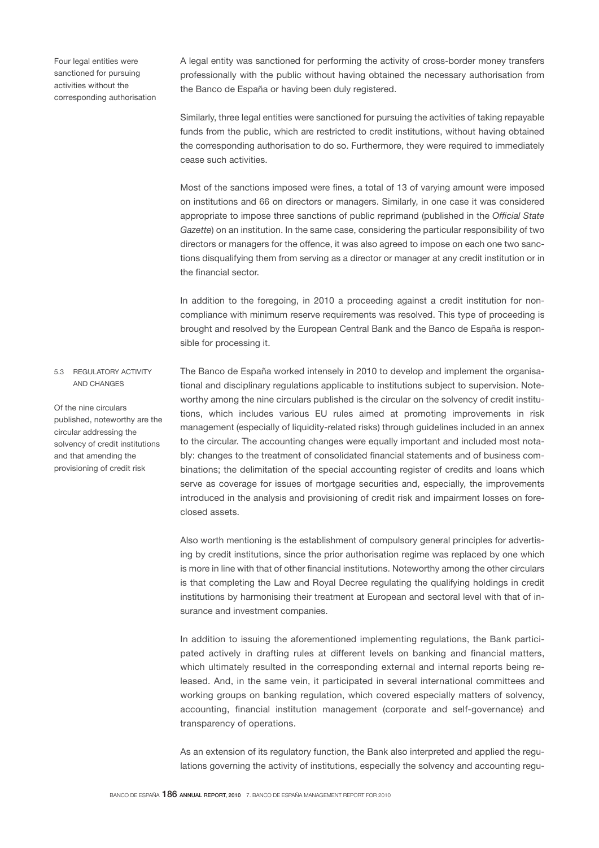Four legal entities were sanctioned for pursuing activities without the corresponding authorisation A legal entity was sanctioned for performing the activity of cross-border money transfers professionally with the public without having obtained the necessary authorisation from the Banco de España or having been duly registered.

Similarly, three legal entities were sanctioned for pursuing the activities of taking repayable funds from the public, which are restricted to credit institutions, without having obtained the corresponding authorisation to do so. Furthermore, they were required to immediately cease such activities.

Most of the sanctions imposed were fines, a total of 13 of varying amount were imposed on institutions and 66 on directors or managers. Similarly, in one case it was considered appropriate to impose three sanctions of public reprimand (published in the *Official State Gazette*) on an institution. In the same case, considering the particular responsibility of two directors or managers for the offence, it was also agreed to impose on each one two sanctions disqualifying them from serving as a director or manager at any credit institution or in the financial sector.

In addition to the foregoing, in 2010 a proceeding against a credit institution for noncompliance with minimum reserve requirements was resolved. This type of proceeding is brought and resolved by the European Central Bank and the Banco de España is responsible for processing it.

The Banco de España worked intensely in 2010 to develop and implement the organisational and disciplinary regulations applicable to institutions subject to supervision. Noteworthy among the nine circulars published is the circular on the solvency of credit institutions, which includes various EU rules aimed at promoting improvements in risk management (especially of liquidity-related risks) through guidelines included in an annex to the circular. The accounting changes were equally important and included most notably: changes to the treatment of consolidated financial statements and of business combinations; the delimitation of the special accounting register of credits and loans which serve as coverage for issues of mortgage securities and, especially, the improvements introduced in the analysis and provisioning of credit risk and impairment losses on foreclosed assets. 5.3 REGULATORY ACTIVITY AND CHANGES Of the nine circulars published, noteworthy are the circular addressing the solvency of credit institutions and that amending the provisioning of credit risk

> Also worth mentioning is the establishment of compulsory general principles for advertising by credit institutions, since the prior authorisation regime was replaced by one which is more in line with that of other financial institutions. Noteworthy among the other circulars is that completing the Law and Royal Decree regulating the qualifying holdings in credit institutions by harmonising their treatment at European and sectoral level with that of insurance and investment companies.

> In addition to issuing the aforementioned implementing regulations, the Bank participated actively in drafting rules at different levels on banking and financial matters, which ultimately resulted in the corresponding external and internal reports being released. And, in the same vein, it participated in several international committees and working groups on banking regulation, which covered especially matters of solvency, accounting, financial institution management (corporate and self-governance) and transparency of operations.

> As an extension of its regulatory function, the Bank also interpreted and applied the regulations governing the activity of institutions, especially the solvency and accounting regu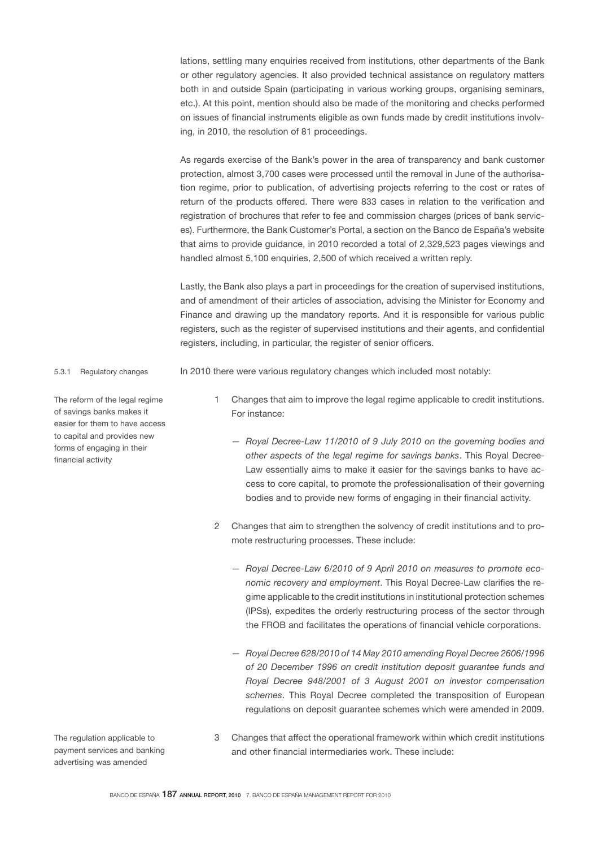lations, settling many enquiries received from institutions, other departments of the Bank or other regulatory agencies. It also provided technical assistance on regulatory matters both in and outside Spain (participating in various working groups, organising seminars, etc.). At this point, mention should also be made of the monitoring and checks performed on issues of financial instruments eligible as own funds made by credit institutions involving, in 2010, the resolution of 81 proceedings.

As regards exercise of the Bank's power in the area of transparency and bank customer protection, almost 3,700 cases were processed until the removal in June of the authorisation regime, prior to publication, of advertising projects referring to the cost or rates of return of the products offered. There were 833 cases in relation to the verification and registration of brochures that refer to fee and commission charges (prices of bank services). Furthermore, the Bank Customer's Portal, a section on the Banco de España's website that aims to provide guidance, in 2010 recorded a total of 2,329,523 pages viewings and handled almost 5,100 enquiries, 2,500 of which received a written reply.

Lastly, the Bank also plays a part in proceedings for the creation of supervised institutions, and of amendment of their articles of association, advising the Minister for Economy and Finance and drawing up the mandatory reports. And it is responsible for various public registers, such as the register of supervised institutions and their agents, and confidential registers, including, in particular, the register of senior officers.

In 2010 there were various regulatory changes which included most notably:

- 1 Changes that aim to improve the legal regime applicable to credit institutions. For instance:
	- *Royal Decree-Law 11/2010 of 9 July 2010 on the governing bodies and other aspects of the legal regime for savings banks*. This Royal Decree-Law essentially aims to make it easier for the savings banks to have access to core capital, to promote the professionalisation of their governing bodies and to provide new forms of engaging in their financial activity.
- 2 Changes that aim to strengthen the solvency of credit institutions and to promote restructuring processes. These include:
	- *Royal Decree-Law 6/2010 of 9 April 2010 on measures to promote economic recovery and employment*. This Royal Decree-Law clarifies the regime applicable to the credit institutions in institutional protection schemes (IPSs), expedites the orderly restructuring process of the sector through the FROB and facilitates the operations of financial vehicle corporations.
	- *Royal Decree 628/2010 of 14 May 2010 amending Royal Decree 2606/1996 of 20 December 1996 on credit institution deposit guarantee funds and Royal Decree 948/2001 of 3 August 2001 on investor compensation schemes*. This Royal Decree completed the transposition of European regulations on deposit guarantee schemes which were amended in 2009.
- 3 Changes that affect the operational framework within which credit institutions and other financial intermediaries work. These include:

The reform of the legal regime of savings banks makes it easier for them to have access to capital and provides new forms of engaging in their financial activity

5.3.1 Regulatory changes

The regulation applicable to payment services and banking advertising was amended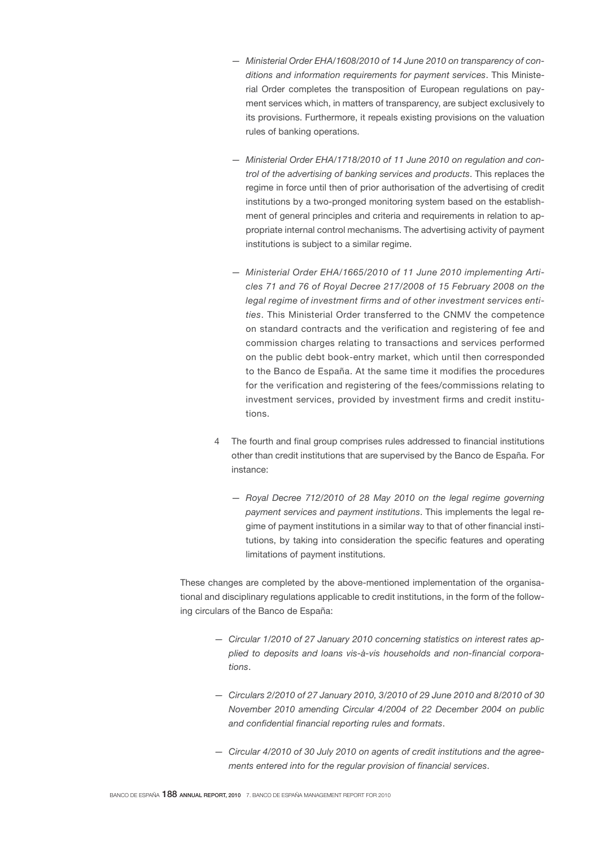- *Ministerial Order EHA/1608/2010 of 14 June 2010 on transparency of conditions and information requirements for payment services*. This Ministerial Order completes the transposition of European regulations on payment services which, in matters of transparency, are subject exclusively to its provisions. Furthermore, it repeals existing provisions on the valuation rules of banking operations.
- *Ministerial Order EHA/1718/2010 of 11 June 2010 on regulation and control of the advertising of banking services and products*. This replaces the regime in force until then of prior authorisation of the advertising of credit institutions by a two-pronged monitoring system based on the establishment of general principles and criteria and requirements in relation to appropriate internal control mechanisms. The advertising activity of payment institutions is subject to a similar regime.
- *Ministerial Order EHA/1665/2010 of 11 June 2010 implementing Articles 71 and 76 of Royal Decree 217/2008 of 15 February 2008 on the legal regime of investment firms and of other investment services entities*. This Ministerial Order transferred to the CNMV the competence on standard contracts and the verification and registering of fee and commission charges relating to transactions and services performed on the public debt book-entry market, which until then corresponded to the Banco de España. At the same time it modifies the procedures for the verification and registering of the fees/commissions relating to investment services, provided by investment firms and credit institutions.
- 4 The fourth and final group comprises rules addressed to financial institutions other than credit institutions that are supervised by the Banco de España. For instance:
	- *Royal Decree 712/2010 of 28 May 2010 on the legal regime governing payment services and payment institutions*. This implements the legal regime of payment institutions in a similar way to that of other financial institutions, by taking into consideration the specific features and operating limitations of payment institutions.

These changes are completed by the above-mentioned implementation of the organisational and disciplinary regulations applicable to credit institutions, in the form of the following circulars of the Banco de España:

- *Circular 1/2010 of 27 January 2010 concerning statistics on interest rates applied to deposits and loans vis-à-vis households and non-financial corporations*.
- *Circulars 2/2010 of 27 January 2010, 3/2010 of 29 June 2010 and 8/2010 of 30 November 2010 amending Circular 4/2004 of 22 December 2004 on public and confidential financial reporting rules and formats*.
- *Circular 4/2010 of 30 July 2010 on agents of credit institutions and the agreements entered into for the regular provision of financial services*.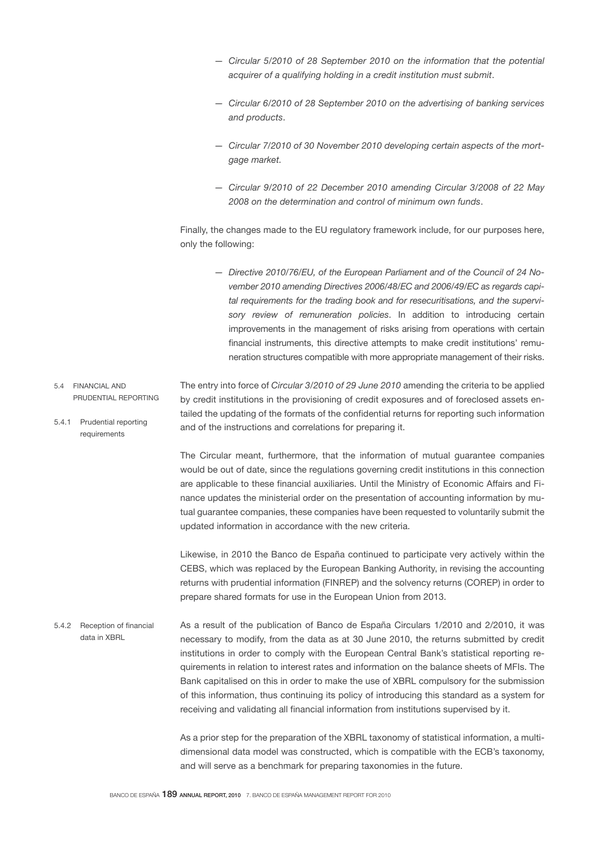- *Circular 5/2010 of 28 September 2010 on the information that the potential acquirer of a qualifying holding in a credit institution must submit*.
- *Circular 6/2010 of 28 September 2010 on the advertising of banking services and products*.
- *Circular 7/2010 of 30 November 2010 developing certain aspects of the mortgage market.*
- *Circular 9/2010 of 22 December 2010 amending Circular 3/2008 of 22 May 2008 on the determination and control of minimum own funds*.

Finally, the changes made to the EU regulatory framework include, for our purposes here, only the following:

- *Directive 2010/76/EU, of the European Parliament and of the Council of 24 November 2010 amending Directives 2006/48/EC and 2006/49/EC as regards capital requirements for the trading book and for resecuritisations, and the supervisory review of remuneration policies*. In addition to introducing certain improvements in the management of risks arising from operations with certain financial instruments, this directive attempts to make credit institutions' remuneration structures compatible with more appropriate management of their risks.
- The entry into force of *Circular 3/2010 of 29 June 2010* amending the criteria to be applied by credit institutions in the provisioning of credit exposures and of foreclosed assets entailed the updating of the formats of the confidential returns for reporting such information and of the instructions and correlations for preparing it. 5.4 FINANCIAL AND PRUDENTIAL REPORTING 5.4.1 Prudential reporting

The Circular meant, furthermore, that the information of mutual guarantee companies would be out of date, since the regulations governing credit institutions in this connection are applicable to these financial auxiliaries. Until the Ministry of Economic Affairs and Finance updates the ministerial order on the presentation of accounting information by mutual guarantee companies, these companies have been requested to voluntarily submit the updated information in accordance with the new criteria.

Likewise, in 2010 the Banco de España continued to participate very actively within the CEBS, which was replaced by the European Banking Authority, in revising the accounting returns with prudential information (FINREP) and the solvency returns (COREP) in order to prepare shared formats for use in the European Union from 2013.

As a result of the publication of Banco de España Circulars 1/2010 and 2/2010, it was necessary to modify, from the data as at 30 June 2010, the returns submitted by credit institutions in order to comply with the European Central Bank's statistical reporting requirements in relation to interest rates and information on the balance sheets of MFIs. The Bank capitalised on this in order to make the use of XBRL compulsory for the submission of this information, thus continuing its policy of introducing this standard as a system for receiving and validating all financial information from institutions supervised by it. 5.4.2 Reception of financial data in XBRL

> As a prior step for the preparation of the XBRL taxonomy of statistical information, a multidimensional data model was constructed, which is compatible with the ECB's taxonomy, and will serve as a benchmark for preparing taxonomies in the future.

requirements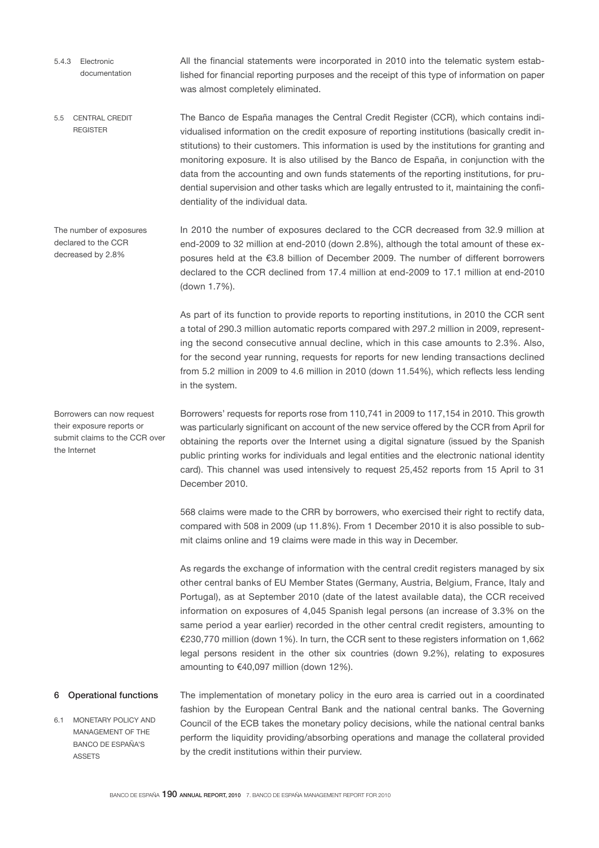All the financial statements were incorporated in 2010 into the telematic system established for financial reporting purposes and the receipt of this type of information on paper was almost completely eliminated. 5.4.3 Electronic documentation

The Banco de España manages the Central Credit Register (CCR), which contains individualised information on the credit exposure of reporting institutions (basically credit institutions) to their customers. This information is used by the institutions for granting and monitoring exposure. It is also utilised by the Banco de España, in conjunction with the data from the accounting and own funds statements of the reporting institutions, for prudential supervision and other tasks which are legally entrusted to it, maintaining the confidentiality of the individual data. 5.5 CENTRAL CREDIT REGISTER

In 2010 the number of exposures declared to the CCR decreased from 32.9 million at end-2009 to 32 million at end-2010 (down 2.8%), although the total amount of these exposures held at the €3.8 billion of December 2009. The number of different borrowers declared to the CCR declined from 17.4 million at end-2009 to 17.1 million at end-2010 (down 1.7%). The number of exposures declared to the CCR decreased by 2.8%

> As part of its function to provide reports to reporting institutions, in 2010 the CCR sent a total of 290.3 million automatic reports compared with 297.2 million in 2009, representing the second consecutive annual decline, which in this case amounts to 2.3%. Also, for the second year running, requests for reports for new lending transactions declined from 5.2 million in 2009 to 4.6 million in 2010 (down 11.54%), which reflects less lending in the system.

Borrowers can now request their exposure reports or submit claims to the CCR over the Internet

Borrowers' requests for reports rose from 110,741 in 2009 to 117,154 in 2010. This growth was particularly significant on account of the new service offered by the CCR from April for obtaining the reports over the Internet using a digital signature (issued by the Spanish public printing works for individuals and legal entities and the electronic national identity card). This channel was used intensively to request 25,452 reports from 15 April to 31 December 2010.

568 claims were made to the CRR by borrowers, who exercised their right to rectify data, compared with 508 in 2009 (up 11.8%). From 1 December 2010 it is also possible to submit claims online and 19 claims were made in this way in December.

As regards the exchange of information with the central credit registers managed by six other central banks of EU Member States (Germany, Austria, Belgium, France, Italy and Portugal), as at September 2010 (date of the latest available data), the CCR received information on exposures of 4,045 Spanish legal persons (an increase of 3.3% on the same period a year earlier) recorded in the other central credit registers, amounting to €230,770 million (down 1%). In turn, the CCR sent to these registers information on 1,662 legal persons resident in the other six countries (down 9.2%), relating to exposures amounting to €40,097 million (down 12%).

## 6 Operational functions

6.1 MONETARY POLICY AND MANAGEMENT OF THE BANCO DE ESPAÑA'S **ASSETS** 

The implementation of monetary policy in the euro area is carried out in a coordinated fashion by the European Central Bank and the national central banks. The Governing Council of the ECB takes the monetary policy decisions, while the national central banks perform the liquidity providing/absorbing operations and manage the collateral provided by the credit institutions within their purview.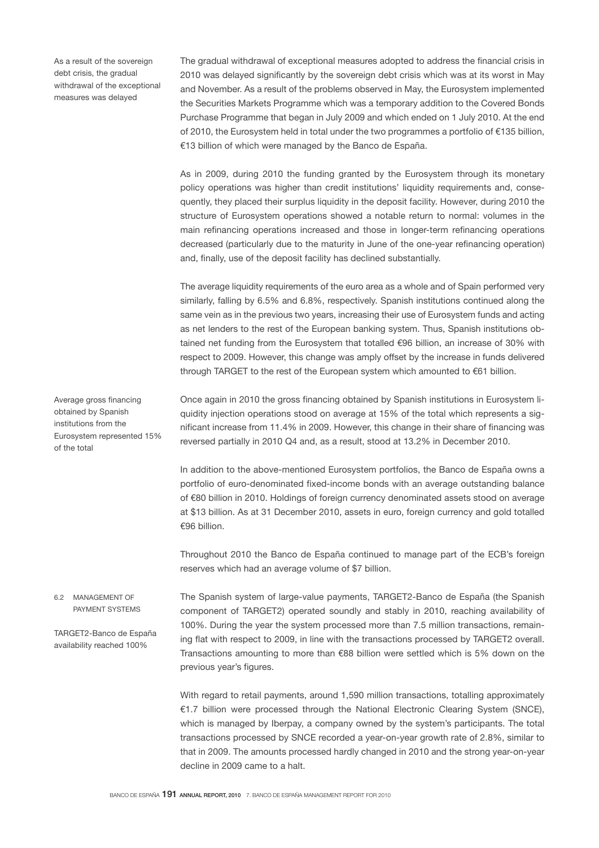As a result of the sovereign debt crisis, the gradual withdrawal of the exceptional measures was delayed

The gradual withdrawal of exceptional measures adopted to address the financial crisis in 2010 was delayed significantly by the sovereign debt crisis which was at its worst in May and November. As a result of the problems observed in May, the Eurosystem implemented the Securities Markets Programme which was a temporary addition to the Covered Bonds Purchase Programme that began in July 2009 and which ended on 1 July 2010. At the end of 2010, the Eurosystem held in total under the two programmes a portfolio of €135 billion, €13 billion of which were managed by the Banco de España.

As in 2009, during 2010 the funding granted by the Eurosystem through its monetary policy operations was higher than credit institutions' liquidity requirements and, consequently, they placed their surplus liquidity in the deposit facility. However, during 2010 the structure of Eurosystem operations showed a notable return to normal: volumes in the main refinancing operations increased and those in longer-term refinancing operations decreased (particularly due to the maturity in June of the one-year refinancing operation) and, finally, use of the deposit facility has declined substantially.

The average liquidity requirements of the euro area as a whole and of Spain performed very similarly, falling by 6.5% and 6.8%, respectively. Spanish institutions continued along the same vein as in the previous two years, increasing their use of Eurosystem funds and acting as net lenders to the rest of the European banking system. Thus, Spanish institutions obtained net funding from the Eurosystem that totalled €96 billion, an increase of 30% with respect to 2009. However, this change was amply offset by the increase in funds delivered through TARGET to the rest of the European system which amounted to €61 billion.

Average gross financing obtained by Spanish institutions from the Eurosystem represented 15% of the total

Once again in 2010 the gross financing obtained by Spanish institutions in Eurosystem liquidity injection operations stood on average at 15% of the total which represents a significant increase from 11.4% in 2009. However, this change in their share of financing was reversed partially in 2010 Q4 and, as a result, stood at 13.2% in December 2010.

In addition to the above-mentioned Eurosystem portfolios, the Banco de España owns a portfolio of euro-denominated fixed-income bonds with an average outstanding balance of €80 billion in 2010. Holdings of foreign currency denominated assets stood on average at \$13 billion. As at 31 December 2010, assets in euro, foreign currency and gold totalled €96 billion.

Throughout 2010 the Banco de España continued to manage part of the ECB's foreign reserves which had an average volume of \$7 billion.

The Spanish system of large-value payments, TARGET2-Banco de España (the Spanish component of TARGET2) operated soundly and stably in 2010, reaching availability of 100%. During the year the system processed more than 7.5 million transactions, remaining flat with respect to 2009, in line with the transactions processed by TARGET2 overall. Transactions amounting to more than €88 billion were settled which is 5% down on the previous year's figures. 6.2 MANAGEMENT OF PAYMENT SYSTEMS TARGET2-Banco de España availability reached 100%

> With regard to retail payments, around 1,590 million transactions, totalling approximately €1.7 billion were processed through the National Electronic Clearing System (SNCE), which is managed by Iberpay, a company owned by the system's participants. The total transactions processed by SNCE recorded a year-on-year growth rate of 2.8%, similar to that in 2009. The amounts processed hardly changed in 2010 and the strong year-on-year decline in 2009 came to a halt.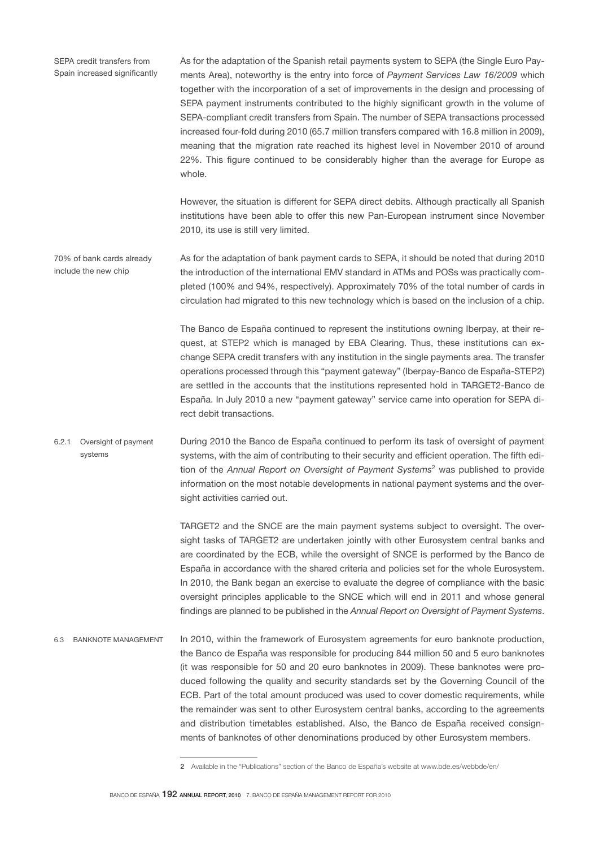SEPA credit transfers from Spain increased significantly As for the adaptation of the Spanish retail payments system to SEPA (the Single Euro Payments Area), noteworthy is the entry into force of *Payment Services Law 16/2009* which together with the incorporation of a set of improvements in the design and processing of SEPA payment instruments contributed to the highly significant growth in the volume of SEPA-compliant credit transfers from Spain. The number of SEPA transactions processed increased four-fold during 2010 (65.7 million transfers compared with 16.8 million in 2009), meaning that the migration rate reached its highest level in November 2010 of around 22%. This figure continued to be considerably higher than the average for Europe as whole.

However, the situation is different for SEPA direct debits. Although practically all Spanish institutions have been able to offer this new Pan-European instrument since November 2010, its use is still very limited.

As for the adaptation of bank payment cards to SEPA, it should be noted that during 2010 the introduction of the international EMV standard in ATMs and POSs was practically completed (100% and 94%, respectively). Approximately 70% of the total number of cards in circulation had migrated to this new technology which is based on the inclusion of a chip. 70% of bank cards already include the new chip

> The Banco de España continued to represent the institutions owning Iberpay, at their request, at STEP2 which is managed by EBA Clearing. Thus, these institutions can exchange SEPA credit transfers with any institution in the single payments area. The transfer operations processed through this "payment gateway" (Iberpay-Banco de España-STEP2) are settled in the accounts that the institutions represented hold in TARGET2-Banco de España. In July 2010 a new "payment gateway" service came into operation for SEPA direct debit transactions.

During 2010 the Banco de España continued to perform its task of oversight of payment systems, with the aim of contributing to their security and efficient operation. The fifth edition of the *Annual Report on Oversight of Payment Systems*<sup>2</sup> was published to provide information on the most notable developments in national payment systems and the oversight activities carried out. 6.2.1 Oversight of payment systems

> TARGET2 and the SNCE are the main payment systems subject to oversight. The oversight tasks of TARGET2 are undertaken jointly with other Eurosystem central banks and are coordinated by the ECB, while the oversight of SNCE is performed by the Banco de España in accordance with the shared criteria and policies set for the whole Eurosystem. In 2010, the Bank began an exercise to evaluate the degree of compliance with the basic oversight principles applicable to the SNCE which will end in 2011 and whose general findings are planned to be published in the *Annual Report on Oversight of Payment Systems*.

In 2010, within the framework of Eurosystem agreements for euro banknote production, the Banco de España was responsible for producing 844 million 50 and 5 euro banknotes (it was responsible for 50 and 20 euro banknotes in 2009). These banknotes were produced following the quality and security standards set by the Governing Council of the ECB. Part of the total amount produced was used to cover domestic requirements, while the remainder was sent to other Eurosystem central banks, according to the agreements and distribution timetables established. Also, the Banco de España received consignments of banknotes of other denominations produced by other Eurosystem members. 6.3 BANKNOTE MANAGEMENT

<sup>2</sup> Available in the "Publications" section of the Banco de España's website at www.bde.es/webbde/en/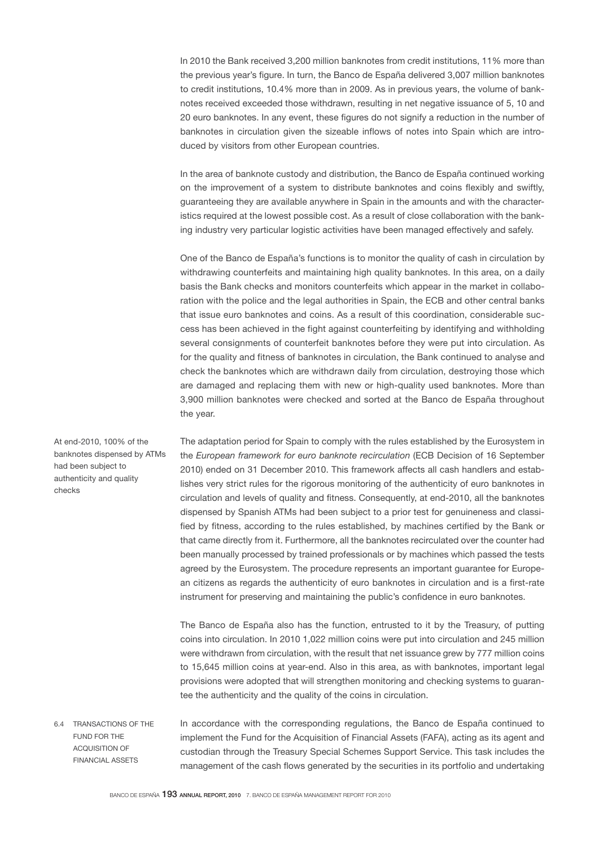In 2010 the Bank received 3,200 million banknotes from credit institutions, 11% more than the previous year's figure. In turn, the Banco de España delivered 3,007 million banknotes to credit institutions, 10.4% more than in 2009. As in previous years, the volume of banknotes received exceeded those withdrawn, resulting in net negative issuance of 5, 10 and 20 euro banknotes. In any event, these figures do not signify a reduction in the number of banknotes in circulation given the sizeable inflows of notes into Spain which are introduced by visitors from other European countries.

In the area of banknote custody and distribution, the Banco de España continued working on the improvement of a system to distribute banknotes and coins flexibly and swiftly, guaranteeing they are available anywhere in Spain in the amounts and with the characteristics required at the lowest possible cost. As a result of close collaboration with the banking industry very particular logistic activities have been managed effectively and safely.

One of the Banco de España's functions is to monitor the quality of cash in circulation by withdrawing counterfeits and maintaining high quality banknotes. In this area, on a daily basis the Bank checks and monitors counterfeits which appear in the market in collaboration with the police and the legal authorities in Spain, the ECB and other central banks that issue euro banknotes and coins. As a result of this coordination, considerable success has been achieved in the fight against counterfeiting by identifying and withholding several consignments of counterfeit banknotes before they were put into circulation. As for the quality and fitness of banknotes in circulation, the Bank continued to analyse and check the banknotes which are withdrawn daily from circulation, destroying those which are damaged and replacing them with new or high-quality used banknotes. More than 3,900 million banknotes were checked and sorted at the Banco de España throughout the year.

The adaptation period for Spain to comply with the rules established by the Eurosystem in the *European framework for euro banknote recirculation* (ECB Decision of 16 September 2010) ended on 31 December 2010. This framework affects all cash handlers and establishes very strict rules for the rigorous monitoring of the authenticity of euro banknotes in circulation and levels of quality and fitness. Consequently, at end-2010, all the banknotes dispensed by Spanish ATMs had been subject to a prior test for genuineness and classified by fitness, according to the rules established, by machines certified by the Bank or that came directly from it. Furthermore, all the banknotes recirculated over the counter had been manually processed by trained professionals or by machines which passed the tests agreed by the Eurosystem. The procedure represents an important guarantee for European citizens as regards the authenticity of euro banknotes in circulation and is a first-rate instrument for preserving and maintaining the public's confidence in euro banknotes.

The Banco de España also has the function, entrusted to it by the Treasury, of putting coins into circulation. In 2010 1,022 million coins were put into circulation and 245 million were withdrawn from circulation, with the result that net issuance grew by 777 million coins to 15,645 million coins at year-end. Also in this area, as with banknotes, important legal provisions were adopted that will strengthen monitoring and checking systems to guarantee the authenticity and the quality of the coins in circulation.

6.4 TRANSACTIONS OF THE FUND FOR THE ACQUISITION OF FINANCIAL ASSETS

In accordance with the corresponding regulations, the Banco de España continued to implement the Fund for the Acquisition of Financial Assets (FAFA), acting as its agent and custodian through the Treasury Special Schemes Support Service. This task includes the management of the cash flows generated by the securities in its portfolio and undertaking

banknotes dispensed by ATMs had been subject to authenticity and quality checks

At end-2010, 100% of the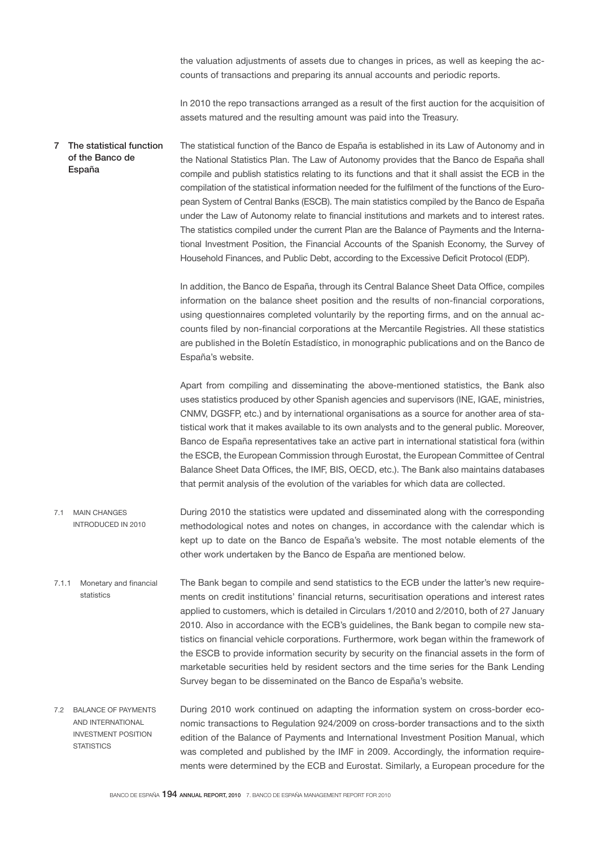the valuation adjustments of assets due to changes in prices, as well as keeping the accounts of transactions and preparing its annual accounts and periodic reports.

In 2010 the repo transactions arranged as a result of the first auction for the acquisition of assets matured and the resulting amount was paid into the Treasury.

The statistical function of the Banco de España is established in its Law of Autonomy and in the National Statistics Plan. The Law of Autonomy provides that the Banco de España shall compile and publish statistics relating to its functions and that it shall assist the ECB in the compilation of the statistical information needed for the fulfilment of the functions of the European System of Central Banks (ESCB). The main statistics compiled by the Banco de España under the Law of Autonomy relate to financial institutions and markets and to interest rates. The statistics compiled under the current Plan are the Balance of Payments and the International Investment Position, the Financial Accounts of the Spanish Economy, the Survey of Household Finances, and Public Debt, according to the Excessive Deficit Protocol (EDP). 7 The statistical function of the Banco de España

> In addition, the Banco de España, through its Central Balance Sheet Data Office, compiles information on the balance sheet position and the results of non-financial corporations, using questionnaires completed voluntarily by the reporting firms, and on the annual accounts filed by non-financial corporations at the Mercantile Registries. All these statistics are published in the Boletín Estadístico, in monographic publications and on the Banco de España's website.

> Apart from compiling and disseminating the above-mentioned statistics, the Bank also uses statistics produced by other Spanish agencies and supervisors (INE, IGAE, ministries, CNMV, DGSFP, etc.) and by international organisations as a source for another area of statistical work that it makes available to its own analysts and to the general public. Moreover, Banco de España representatives take an active part in international statistical fora (within the ESCB, the European Commission through Eurostat, the European Committee of Central Balance Sheet Data Offices, the IMF, BIS, OECD, etc.). The Bank also maintains databases that permit analysis of the evolution of the variables for which data are collected.

- During 2010 the statistics were updated and disseminated along with the corresponding methodological notes and notes on changes, in accordance with the calendar which is kept up to date on the Banco de España's website. The most notable elements of the other work undertaken by the Banco de España are mentioned below. 7.1 MAIN CHANGES INTRODUCED IN 2010
- The Bank began to compile and send statistics to the ECB under the latter's new requirements on credit institutions' financial returns, securitisation operations and interest rates applied to customers, which is detailed in Circulars 1/2010 and 2/2010, both of 27 January 2010. Also in accordance with the ECB's guidelines, the Bank began to compile new statistics on financial vehicle corporations. Furthermore, work began within the framework of the ESCB to provide information security by security on the financial assets in the form of marketable securities held by resident sectors and the time series for the Bank Lending Survey began to be disseminated on the Banco de España's website. 7.1.1 Monetary and financial statistics
- During 2010 work continued on adapting the information system on cross-border economic transactions to Regulation 924/2009 on cross-border transactions and to the sixth edition of the Balance of Payments and International Investment Position Manual, which was completed and published by the IMF in 2009. Accordingly, the information requirements were determined by the ECB and Eurostat. Similarly, a European procedure for the 7.2 BALANCE OF PAYMENTS AND INTERNATIONAL INVESTMENT POSITION **STATISTICS**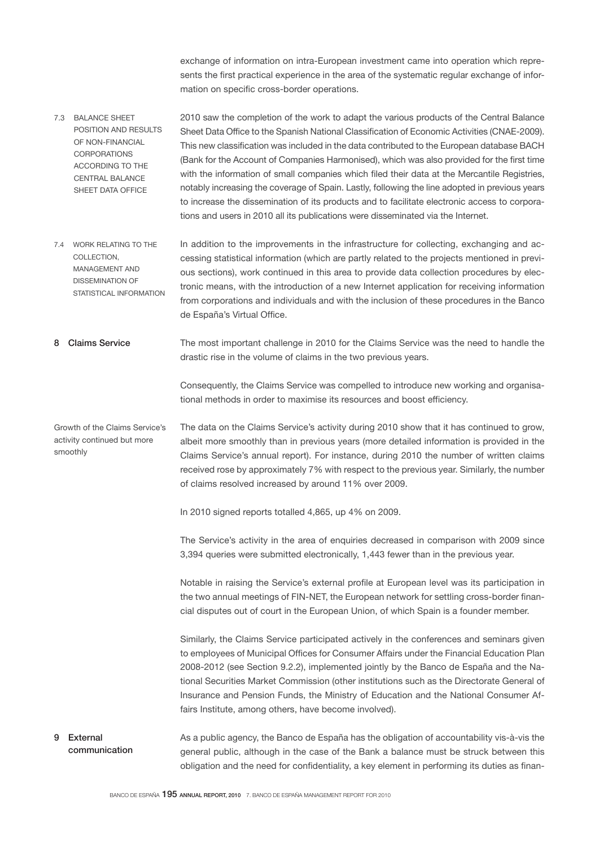exchange of information on intra-European investment came into operation which represents the first practical experience in the area of the systematic regular exchange of information on specific cross-border operations.

- 2010 saw the completion of the work to adapt the various products of the Central Balance Sheet Data Office to the Spanish National Classification of Economic Activities (CNAE-2009). This new classification was included in the data contributed to the European database BACH (Bank for the Account of Companies Harmonised), which was also provided for the first time with the information of small companies which filed their data at the Mercantile Registries. notably increasing the coverage of Spain. Lastly, following the line adopted in previous years to increase the dissemination of its products and to facilitate electronic access to corporations and users in 2010 all its publications were disseminated via the Internet. 7.3 BALANCE SHEET POSITION AND RESULTS OF NON-FINANCIAL CORPORATIONS ACCORDING TO THE CENTRAL BALANCE SHEET DATA OFFICE
- In addition to the improvements in the infrastructure for collecting, exchanging and accessing statistical information (which are partly related to the projects mentioned in previous sections), work continued in this area to provide data collection procedures by electronic means, with the introduction of a new Internet application for receiving information from corporations and individuals and with the inclusion of these procedures in the Banco de España's Virtual Office. 7.4 WORK RELATING TO THE COLLECTION, MANAGEMENT AND DISSEMINATION OF STATISTICAL INFORMATION
- The most important challenge in 2010 for the Claims Service was the need to handle the drastic rise in the volume of claims in the two previous years. 8 Claims Service

Consequently, the Claims Service was compelled to introduce new working and organisational methods in order to maximise its resources and boost efficiency.

The data on the Claims Service's activity during 2010 show that it has continued to grow, albeit more smoothly than in previous years (more detailed information is provided in the Claims Service's annual report). For instance, during 2010 the number of written claims received rose by approximately 7% with respect to the previous year. Similarly, the number of claims resolved increased by around 11% over 2009. Growth of the Claims Service's activity continued but more smoothly

In 2010 signed reports totalled 4,865, up 4% on 2009.

The Service's activity in the area of enquiries decreased in comparison with 2009 since 3,394 queries were submitted electronically, 1,443 fewer than in the previous year.

Notable in raising the Service's external profile at European level was its participation in the two annual meetings of FIN-NET, the European network for settling cross-border financial disputes out of court in the European Union, of which Spain is a founder member.

Similarly, the Claims Service participated actively in the conferences and seminars given to employees of Municipal Offices for Consumer Affairs under the Financial Education Plan 2008-2012 (see Section 9.2.2), implemented jointly by the Banco de España and the National Securities Market Commission (other institutions such as the Directorate General of Insurance and Pension Funds, the Ministry of Education and the National Consumer Affairs Institute, among others, have become involved).

As a public agency, the Banco de España has the obligation of accountability vis-à-vis the general public, although in the case of the Bank a balance must be struck between this obligation and the need for confidentiality, a key element in performing its duties as finan-9 External communication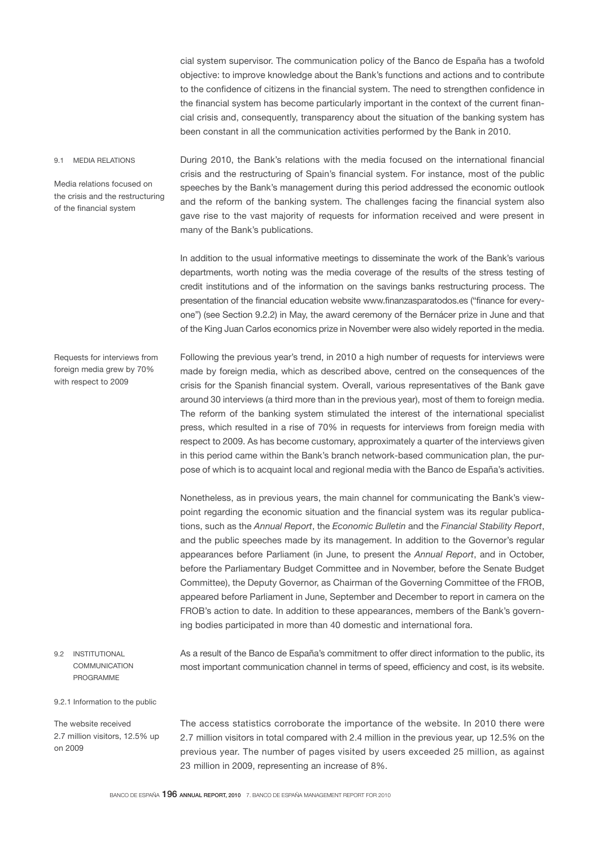cial system supervisor. The communication policy of the Banco de España has a twofold objective: to improve knowledge about the Bank's functions and actions and to contribute to the confidence of citizens in the financial system. The need to strengthen confidence in the financial system has become particularly important in the context of the current financial crisis and, consequently, transparency about the situation of the banking system has been constant in all the communication activities performed by the Bank in 2010.

9.1 MEDIA RELATIONS

Media relations focused on the crisis and the restructuring of the financial system

During 2010, the Bank's relations with the media focused on the international financial crisis and the restructuring of Spain's financial system. For instance, most of the public speeches by the Bank's management during this period addressed the economic outlook and the reform of the banking system. The challenges facing the financial system also gave rise to the vast majority of requests for information received and were present in many of the Bank's publications.

In addition to the usual informative meetings to disseminate the work of the Bank's various departments, worth noting was the media coverage of the results of the stress testing of credit institutions and of the information on the savings banks restructuring process. The presentation of the financial education website www.finanzasparatodos.es ("finance for everyone") (see Section 9.2.2) in May, the award ceremony of the Bernácer prize in June and that of the King Juan Carlos economics prize in November were also widely reported in the media.

Requests for interviews from foreign media grew by 70% with respect to 2009

Following the previous year's trend, in 2010 a high number of requests for interviews were made by foreign media, which as described above, centred on the consequences of the crisis for the Spanish financial system. Overall, various representatives of the Bank gave around 30 interviews (a third more than in the previous year), most of them to foreign media. The reform of the banking system stimulated the interest of the international specialist press, which resulted in a rise of 70% in requests for interviews from foreign media with respect to 2009. As has become customary, approximately a quarter of the interviews given in this period came within the Bank's branch network-based communication plan, the purpose of which is to acquaint local and regional media with the Banco de España's activities.

Nonetheless, as in previous years, the main channel for communicating the Bank's viewpoint regarding the economic situation and the financial system was its regular publications, such as the *Annual Report*, the *Economic Bulletin* and the *Financial Stability Report*, and the public speeches made by its management. In addition to the Governor's regular appearances before Parliament (in June, to present the *Annual Report*, and in October, before the Parliamentary Budget Committee and in November, before the Senate Budget Committee), the Deputy Governor, as Chairman of the Governing Committee of the FROB, appeared before Parliament in June, September and December to report in camera on the FROB's action to date. In addition to these appearances, members of the Bank's governing bodies participated in more than 40 domestic and international fora.

As a result of the Banco de España's commitment to offer direct information to the public, its most important communication channel in terms of speed, efficiency and cost, is its website. 9.2 INSTITUTIONAL COMMUNICATION PROGRAMME

9.2.1 Information to the public

The website received 2.7 million visitors, 12.5% up on 2009

The access statistics corroborate the importance of the website. In 2010 there were 2.7 million visitors in total compared with 2.4 million in the previous year, up 12.5% on the previous year. The number of pages visited by users exceeded 25 million, as against 23 million in 2009, representing an increase of 8%.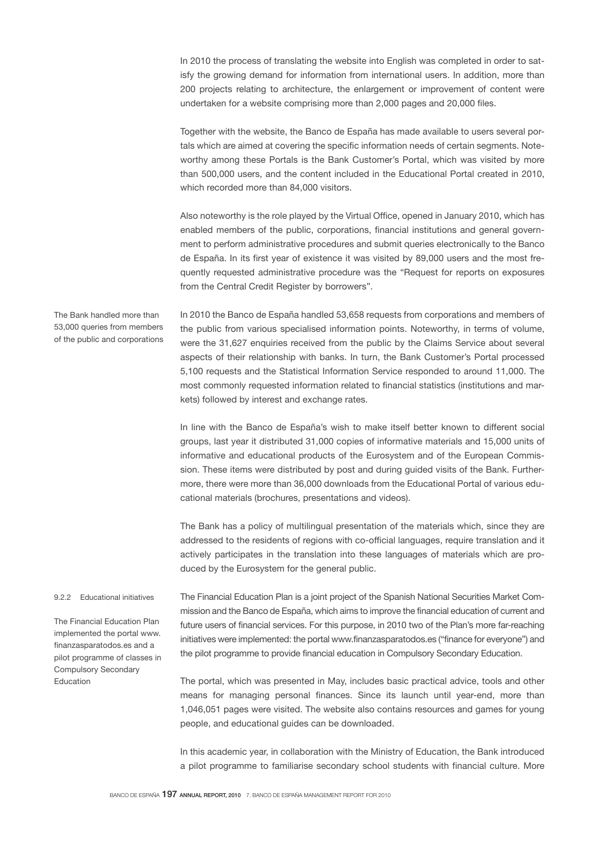In 2010 the process of translating the website into English was completed in order to satisfy the growing demand for information from international users. In addition, more than 200 projects relating to architecture, the enlargement or improvement of content were undertaken for a website comprising more than 2,000 pages and 20,000 files.

Together with the website, the Banco de España has made available to users several portals which are aimed at covering the specific information needs of certain segments. Noteworthy among these Portals is the Bank Customer's Portal, which was visited by more than 500,000 users, and the content included in the Educational Portal created in 2010, which recorded more than 84,000 visitors.

Also noteworthy is the role played by the Virtual Office, opened in January 2010, which has enabled members of the public, corporations, financial institutions and general government to perform administrative procedures and submit queries electronically to the Banco de España. In its first year of existence it was visited by 89,000 users and the most frequently requested administrative procedure was the "Request for reports on exposures from the Central Credit Register by borrowers".

The Bank handled more than 53,000 queries from members of the public and corporations In 2010 the Banco de España handled 53,658 requests from corporations and members of the public from various specialised information points. Noteworthy, in terms of volume, were the 31,627 enquiries received from the public by the Claims Service about several aspects of their relationship with banks. In turn, the Bank Customer's Portal processed 5,100 requests and the Statistical Information Service responded to around 11,000. The most commonly requested information related to financial statistics (institutions and markets) followed by interest and exchange rates.

In line with the Banco de España's wish to make itself better known to different social groups, last year it distributed 31,000 copies of informative materials and 15,000 units of informative and educational products of the Eurosystem and of the European Commission. These items were distributed by post and during guided visits of the Bank. Furthermore, there were more than 36,000 downloads from the Educational Portal of various educational materials (brochures, presentations and videos).

The Bank has a policy of multilingual presentation of the materials which, since they are addressed to the residents of regions with co-official languages, require translation and it actively participates in the translation into these languages of materials which are produced by the Eurosystem for the general public.

## 9.2.2 Educational initiatives

The Financial Education Plan implemented the portal www. finanzasparatodos.es and a pilot programme of classes in Compulsory Secondary Education

The Financial Education Plan is a joint project of the Spanish National Securities Market Commission and the Banco de España, which aims to improve the financial education of current and future users of financial services. For this purpose, in 2010 two of the Plan's more far-reaching initiatives were implemented: the portal www.finanzasparatodos.es ("finance for everyone") and the pilot programme to provide financial education in Compulsory Secondary Education.

The portal, which was presented in May, includes basic practical advice, tools and other means for managing personal finances. Since its launch until year-end, more than 1,046,051 pages were visited. The website also contains resources and games for young people, and educational guides can be downloaded.

In this academic year, in collaboration with the Ministry of Education, the Bank introduced a pilot programme to familiarise secondary school students with financial culture. More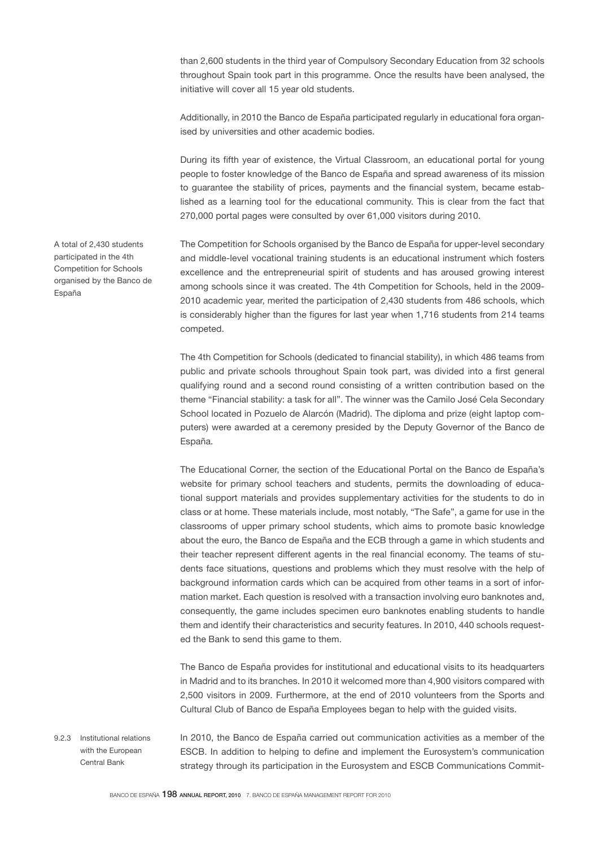than 2,600 students in the third year of Compulsory Secondary Education from 32 schools throughout Spain took part in this programme. Once the results have been analysed, the initiative will cover all 15 year old students.

Additionally, in 2010 the Banco de España participated regularly in educational fora organised by universities and other academic bodies.

During its fifth year of existence, the Virtual Classroom, an educational portal for young people to foster knowledge of the Banco de España and spread awareness of its mission to guarantee the stability of prices, payments and the financial system, became established as a learning tool for the educational community. This is clear from the fact that 270,000 portal pages were consulted by over 61,000 visitors during 2010.

The Competition for Schools organised by the Banco de España for upper-level secondary and middle-level vocational training students is an educational instrument which fosters excellence and the entrepreneurial spirit of students and has aroused growing interest among schools since it was created. The 4th Competition for Schools, held in the 2009- 2010 academic year, merited the participation of 2,430 students from 486 schools, which is considerably higher than the figures for last year when 1,716 students from 214 teams competed.

The 4th Competition for Schools (dedicated to financial stability), in which 486 teams from public and private schools throughout Spain took part, was divided into a first general qualifying round and a second round consisting of a written contribution based on the theme "Financial stability: a task for all". The winner was the Camilo José Cela Secondary School located in Pozuelo de Alarcón (Madrid). The diploma and prize (eight laptop computers) were awarded at a ceremony presided by the Deputy Governor of the Banco de España.

The Educational Corner, the section of the Educational Portal on the Banco de España's website for primary school teachers and students, permits the downloading of educational support materials and provides supplementary activities for the students to do in class or at home. These materials include, most notably, "The Safe", a game for use in the classrooms of upper primary school students, which aims to promote basic knowledge about the euro, the Banco de España and the ECB through a game in which students and their teacher represent different agents in the real financial economy. The teams of students face situations, questions and problems which they must resolve with the help of background information cards which can be acquired from other teams in a sort of information market. Each question is resolved with a transaction involving euro banknotes and, consequently, the game includes specimen euro banknotes enabling students to handle them and identify their characteristics and security features. In 2010, 440 schools requested the Bank to send this game to them.

The Banco de España provides for institutional and educational visits to its headquarters in Madrid and to its branches. In 2010 it welcomed more than 4,900 visitors compared with 2,500 visitors in 2009. Furthermore, at the end of 2010 volunteers from the Sports and Cultural Club of Banco de España Employees began to help with the guided visits.

In 2010, the Banco de España carried out communication activities as a member of the ESCB. In addition to helping to define and implement the Eurosystem's communication strategy through its participation in the Eurosystem and ESCB Communications Commit-9.2.3 Institutional relations with the European Central Bank

A total of 2,430 students participated in the 4th Competition for Schools organised by the Banco de España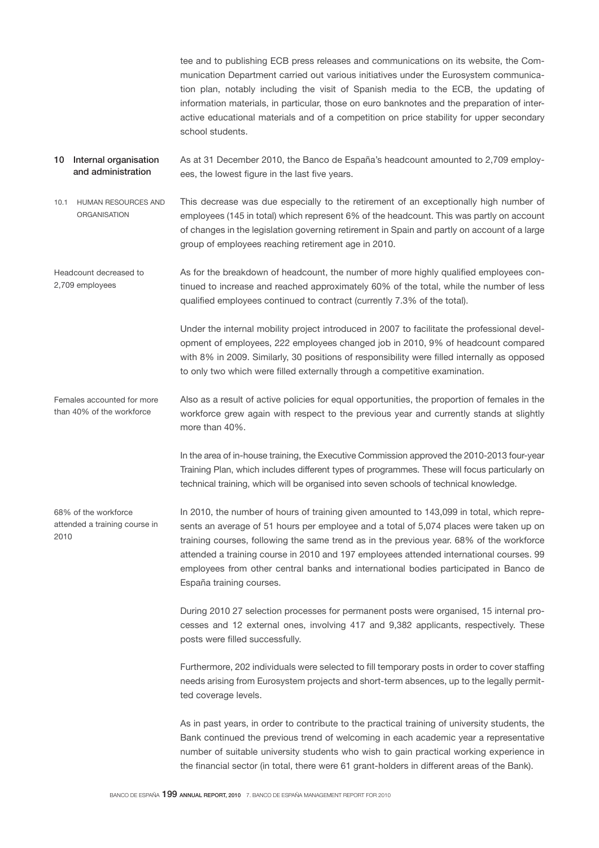tee and to publishing ECB press releases and communications on its website, the Communication Department carried out various initiatives under the Eurosystem communication plan, notably including the visit of Spanish media to the ECB, the updating of information materials, in particular, those on euro banknotes and the preparation of interactive educational materials and of a competition on price stability for upper secondary school students.

- As at 31 December 2010, the Banco de España's headcount amounted to 2,709 employees, the lowest figure in the last five years. 10 Internal organisation and administration
- This decrease was due especially to the retirement of an exceptionally high number of employees (145 in total) which represent 6% of the headcount. This was partly on account of changes in the legislation governing retirement in Spain and partly on account of a large group of employees reaching retirement age in 2010. 10.1 HUMAN RESOURCES AND ORGANISATION

As for the breakdown of headcount, the number of more highly qualified employees continued to increase and reached approximately 60% of the total, while the number of less qualified employees continued to contract (currently 7.3% of the total). Headcount decreased to 2,709 employees

> Under the internal mobility project introduced in 2007 to facilitate the professional development of employees, 222 employees changed job in 2010, 9% of headcount compared with 8% in 2009. Similarly, 30 positions of responsibility were filled internally as opposed to only two which were filled externally through a competitive examination.

Also as a result of active policies for equal opportunities, the proportion of females in the workforce grew again with respect to the previous year and currently stands at slightly more than 40%. Females accounted for more than 40% of the workforce

> In the area of in-house training, the Executive Commission approved the 2010-2013 four-year Training Plan, which includes different types of programmes. These will focus particularly on technical training, which will be organised into seven schools of technical knowledge.

In 2010, the number of hours of training given amounted to 143,099 in total, which represents an average of 51 hours per employee and a total of 5,074 places were taken up on training courses, following the same trend as in the previous year. 68% of the workforce attended a training course in 2010 and 197 employees attended international courses. 99 employees from other central banks and international bodies participated in Banco de España training courses. 68% of the workforce attended a training course in 2010

> During 2010 27 selection processes for permanent posts were organised, 15 internal processes and 12 external ones, involving 417 and 9,382 applicants, respectively. These posts were filled successfully.

> Furthermore, 202 individuals were selected to fill temporary posts in order to cover staffing needs arising from Eurosystem projects and short-term absences, up to the legally permitted coverage levels.

> As in past years, in order to contribute to the practical training of university students, the Bank continued the previous trend of welcoming in each academic year a representative number of suitable university students who wish to gain practical working experience in the financial sector (in total, there were 61 grant-holders in different areas of the Bank).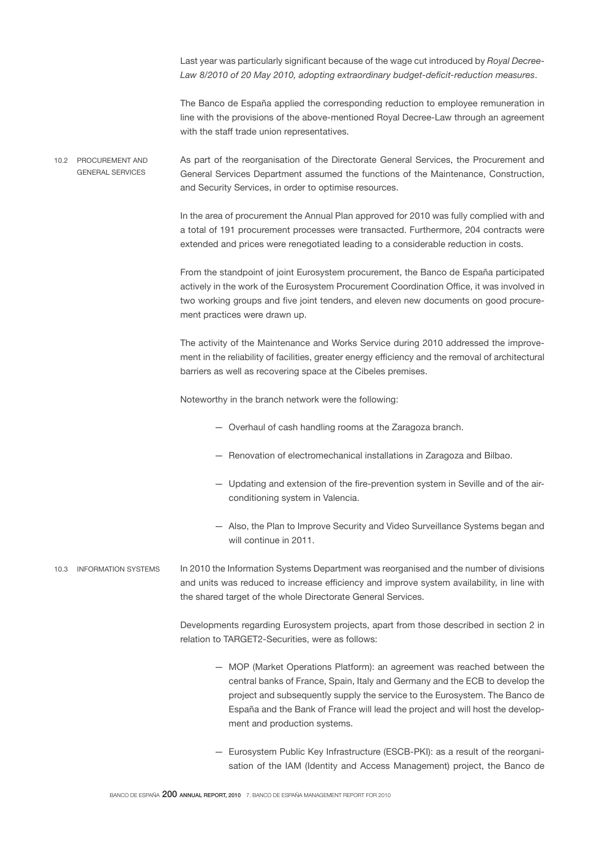Last year was particularly significant because of the wage cut introduced by *Royal Decree-Law 8/2010 of 20 May 2010, adopting extraordinary budget-deficit-reduction measures*.

The Banco de España applied the corresponding reduction to employee remuneration in line with the provisions of the above-mentioned Royal Decree-Law through an agreement with the staff trade union representatives.

As part of the reorganisation of the Directorate General Services, the Procurement and General Services Department assumed the functions of the Maintenance, Construction, and Security Services, in order to optimise resources. 10.2 PROCUREMENT AND GENERAL SERVICES

> In the area of procurement the Annual Plan approved for 2010 was fully complied with and a total of 191 procurement processes were transacted. Furthermore, 204 contracts were extended and prices were renegotiated leading to a considerable reduction in costs.

> From the standpoint of joint Eurosystem procurement, the Banco de España participated actively in the work of the Eurosystem Procurement Coordination Office, it was involved in two working groups and five joint tenders, and eleven new documents on good procurement practices were drawn up.

> The activity of the Maintenance and Works Service during 2010 addressed the improvement in the reliability of facilities, greater energy efficiency and the removal of architectural barriers as well as recovering space at the Cibeles premises.

Noteworthy in the branch network were the following:

- Overhaul of cash handling rooms at the Zaragoza branch.
- Renovation of electromechanical installations in Zaragoza and Bilbao.
- Updating and extension of the fire-prevention system in Seville and of the airconditioning system in Valencia.
- Also, the Plan to Improve Security and Video Surveillance Systems began and will continue in 2011.

In 2010 the Information Systems Department was reorganised and the number of divisions and units was reduced to increase efficiency and improve system availability, in line with the shared target of the whole Directorate General Services. 10.3 INFORMATION SYSTEMS

> Developments regarding Eurosystem projects, apart from those described in section 2 in relation to TARGET2-Securities, were as follows:

- MOP (Market Operations Platform): an agreement was reached between the central banks of France, Spain, Italy and Germany and the ECB to develop the project and subsequently supply the service to the Eurosystem. The Banco de España and the Bank of France will lead the project and will host the development and production systems.
- Eurosystem Public Key Infrastructure (ESCB-PKI): as a result of the reorganisation of the IAM (Identity and Access Management) project, the Banco de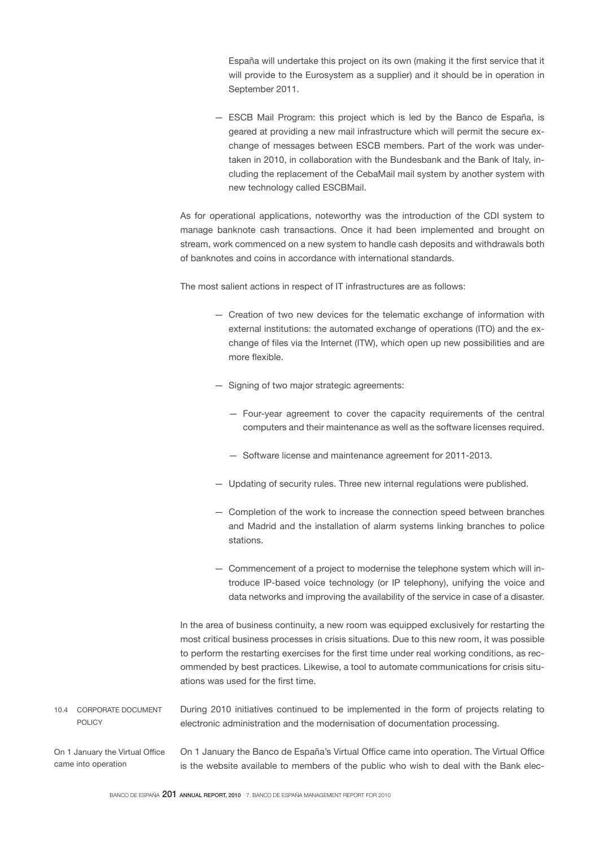España will undertake this project on its own (making it the first service that it will provide to the Eurosystem as a supplier) and it should be in operation in September 2011.

— ESCB Mail Program: this project which is led by the Banco de España, is geared at providing a new mail infrastructure which will permit the secure exchange of messages between ESCB members. Part of the work was undertaken in 2010, in collaboration with the Bundesbank and the Bank of Italy, including the replacement of the CebaMail mail system by another system with new technology called ESCBMail.

As for operational applications, noteworthy was the introduction of the CDI system to manage banknote cash transactions. Once it had been implemented and brought on stream, work commenced on a new system to handle cash deposits and withdrawals both of banknotes and coins in accordance with international standards.

The most salient actions in respect of IT infrastructures are as follows:

- Creation of two new devices for the telematic exchange of information with external institutions: the automated exchange of operations (ITO) and the exchange of files via the Internet (ITW), which open up new possibilities and are more flexible.
- Signing of two major strategic agreements:
	- Four-year agreement to cover the capacity requirements of the central computers and their maintenance as well as the software licenses required.
	- Software license and maintenance agreement for 2011-2013.
- Updating of security rules. Three new internal regulations were published.
- Completion of the work to increase the connection speed between branches and Madrid and the installation of alarm systems linking branches to police stations.
- Commencement of a project to modernise the telephone system which will introduce IP-based voice technology (or IP telephony), unifying the voice and data networks and improving the availability of the service in case of a disaster.

In the area of business continuity, a new room was equipped exclusively for restarting the most critical business processes in crisis situations. Due to this new room, it was possible to perform the restarting exercises for the first time under real working conditions, as recommended by best practices. Likewise, a tool to automate communications for crisis situations was used for the first time.

During 2010 initiatives continued to be implemented in the form of projects relating to electronic administration and the modernisation of documentation processing. 10.4 CORPORATE DOCUMENT POLICY

On 1 January the Banco de España's Virtual Office came into operation. The Virtual Office is the website available to members of the public who wish to deal with the Bank elec-On 1 January the Virtual Office came into operation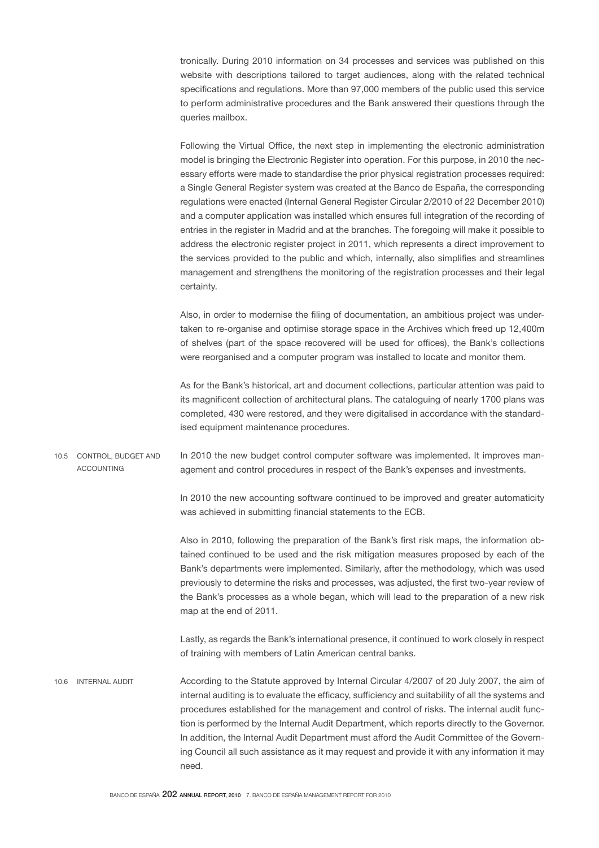tronically. During 2010 information on 34 processes and services was published on this website with descriptions tailored to target audiences, along with the related technical specifications and regulations. More than 97,000 members of the public used this service to perform administrative procedures and the Bank answered their questions through the queries mailbox.

Following the Virtual Office, the next step in implementing the electronic administration model is bringing the Electronic Register into operation. For this purpose, in 2010 the necessary efforts were made to standardise the prior physical registration processes required: a Single General Register system was created at the Banco de España, the corresponding regulations were enacted (Internal General Register Circular 2/2010 of 22 December 2010) and a computer application was installed which ensures full integration of the recording of entries in the register in Madrid and at the branches. The foregoing will make it possible to address the electronic register project in 2011, which represents a direct improvement to the services provided to the public and which, internally, also simplifies and streamlines management and strengthens the monitoring of the registration processes and their legal certainty.

Also, in order to modernise the filing of documentation, an ambitious project was undertaken to re-organise and optimise storage space in the Archives which freed up 12,400m of shelves (part of the space recovered will be used for offices), the Bank's collections were reorganised and a computer program was installed to locate and monitor them.

As for the Bank's historical, art and document collections, particular attention was paid to its magnificent collection of architectural plans. The cataloguing of nearly 1700 plans was completed, 430 were restored, and they were digitalised in accordance with the standardised equipment maintenance procedures.

In 2010 the new budget control computer software was implemented. It improves management and control procedures in respect of the Bank's expenses and investments. 10.5 CONTROL, BUDGET AND ACCOUNTING

> In 2010 the new accounting software continued to be improved and greater automaticity was achieved in submitting financial statements to the ECB.

> Also in 2010, following the preparation of the Bank's first risk maps, the information obtained continued to be used and the risk mitigation measures proposed by each of the Bank's departments were implemented. Similarly, after the methodology, which was used previously to determine the risks and processes, was adjusted, the first two-year review of the Bank's processes as a whole began, which will lead to the preparation of a new risk map at the end of 2011.

> Lastly, as regards the Bank's international presence, it continued to work closely in respect of training with members of Latin American central banks.

According to the Statute approved by Internal Circular 4/2007 of 20 July 2007, the aim of internal auditing is to evaluate the efficacy, sufficiency and suitability of all the systems and procedures established for the management and control of risks. The internal audit function is performed by the Internal Audit Department, which reports directly to the Governor. In addition, the Internal Audit Department must afford the Audit Committee of the Governing Council all such assistance as it may request and provide it with any information it may need. 10.6 INTERNAL AUDIT